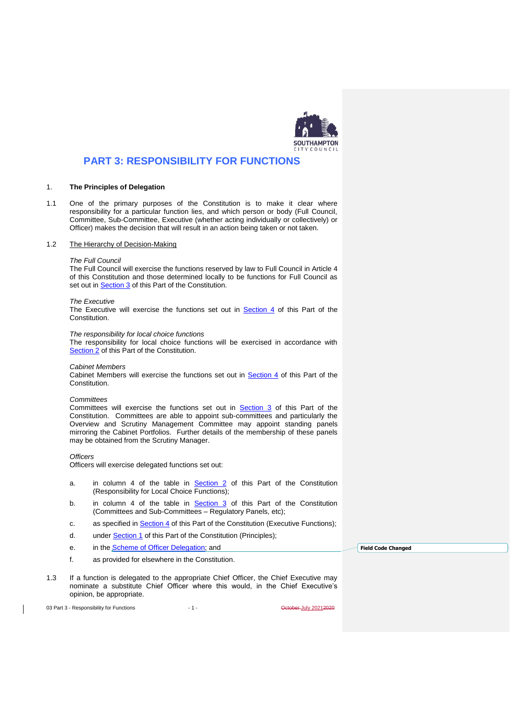

# **PART 3: RESPONSIBILITY FOR FUNCTIONS**

### 1. **The Principles of Delegation**

1.1 One of the primary purposes of the Constitution is to make it clear where responsibility for a particular function lies, and which person or body (Full Council, Committee, Sub-Committee, Executive (whether acting individually or collectively) or Officer) makes the decision that will result in an action being taken or not taken.

#### 1.2 The Hierarchy of Decision-Making

#### *The Full Council*

The Full Council will exercise the functions reserved by law to Full Council in Article 4 of this Constitution and those determined locally to be functions for Full Council as set out in **Section 3** of this Part of the Constitution.

#### *The Executive*

The Executive will exercise the functions set out in Section 4 of this Part of the Constitution.

#### *The responsibility for local choice functions*

The responsibility for local choice functions will be exercised in accordance with Section 2 of this Part of the Constitution.

#### *Cabinet Members*

Cabinet Members will exercise the functions set out in Section 4 of this Part of the Constitution.

### *Committees*

Committees will exercise the functions set out in **Section 3** of this Part of the Constitution. Committees are able to appoint sub-committees and particularly the Overview and Scrutiny Management Committee may appoint standing panels mirroring the Cabinet Portfolios. Further details of the membership of these panels may be obtained from the Scrutiny Manager.

#### *Officers*

Officers will exercise delegated functions set out:

- a. in column 4 of the table in **Section 2** of this Part of the Constitution (Responsibility for Local Choice Functions);
- b. in column 4 of the table in **Section 3** of this Part of the Constitution (Committees and Sub-Committees – Regulatory Panels, etc);
- c. as specified in **Section 4** of this Part of the Constitution (Executive Functions);
- d. under **Section 1** of this Part of the Constitution (Principles);
- e. in the **Scheme of Officer Delegation**; and
- f. as provided for elsewhere in the Constitution.
- 1.3 If a function is delegated to the appropriate Chief Officer, the Chief Executive may nominate a substitute Chief Officer where this would, in the Chief Executive's opinion, be appropriate.

03 Part 3 - Responsibility for Functions - 1 - 1 - Capacity 20212020

**Field Code Changed**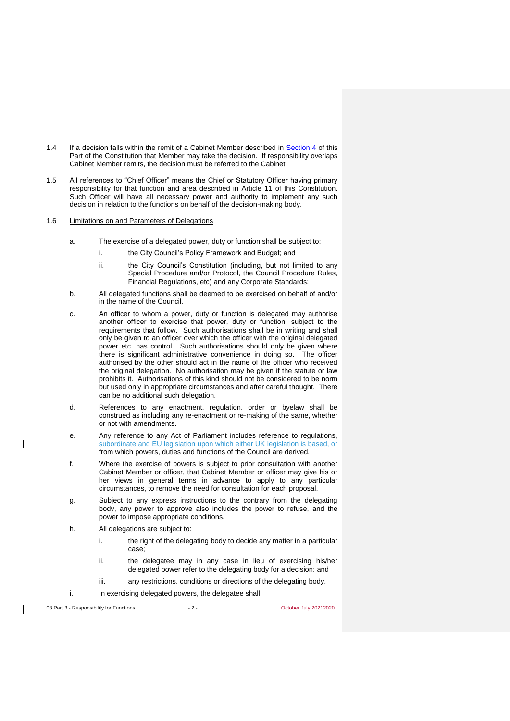- 1.4 If a decision falls within the remit of a Cabinet Member described in Section 4 of this Part of the Constitution that Member may take the decision. If responsibility overlaps Cabinet Member remits, the decision must be referred to the Cabinet.
- 1.5 All references to "Chief Officer" means the Chief or Statutory Officer having primary responsibility for that function and area described in Article 11 of this Constitution. Such Officer will have all necessary power and authority to implement any such decision in relation to the functions on behalf of the decision-making body.

## 1.6 Limitations on and Parameters of Delegations

- a. The exercise of a delegated power, duty or function shall be subject to:
	- i. the City Council's Policy Framework and Budget: and
	- ii. the City Council's Constitution (including, but not limited to any Special Procedure and/or Protocol, the Council Procedure Rules, Financial Regulations, etc) and any Corporate Standards;
- b. All delegated functions shall be deemed to be exercised on behalf of and/or in the name of the Council.
- c. An officer to whom a power, duty or function is delegated may authorise another officer to exercise that power, duty or function, subject to the requirements that follow. Such authorisations shall be in writing and shall only be given to an officer over which the officer with the original delegated power etc. has control. Such authorisations should only be given where there is significant administrative convenience in doing so. The officer authorised by the other should act in the name of the officer who received the original delegation. No authorisation may be given if the statute or law prohibits it. Authorisations of this kind should not be considered to be norm but used only in appropriate circumstances and after careful thought. There can be no additional such delegation.
- d. References to any enactment, regulation, order or byelaw shall be construed as including any re-enactment or re-making of the same, whether or not with amendments.
- e. Any reference to any Act of Parliament includes reference to regulations, subordinate and EU legislation upon which either UK legislation is based. from which powers, duties and functions of the Council are derived.
- f. Where the exercise of powers is subject to prior consultation with another Cabinet Member or officer, that Cabinet Member or officer may give his or her views in general terms in advance to apply to any particular circumstances, to remove the need for consultation for each proposal.
- g. Subject to any express instructions to the contrary from the delegating body, any power to approve also includes the power to refuse, and the power to impose appropriate conditions.
- h. All delegations are subject to:
	- i. the right of the delegating body to decide any matter in a particular case;
	- ii. the delegatee may in any case in lieu of exercising his/her delegated power refer to the delegating body for a decision; and
	- iii. any restrictions, conditions or directions of the delegating body.
- i. In exercising delegated powers, the delegatee shall:

03 Part 3 - Responsibility for Functions - 2 - October July 2021-2020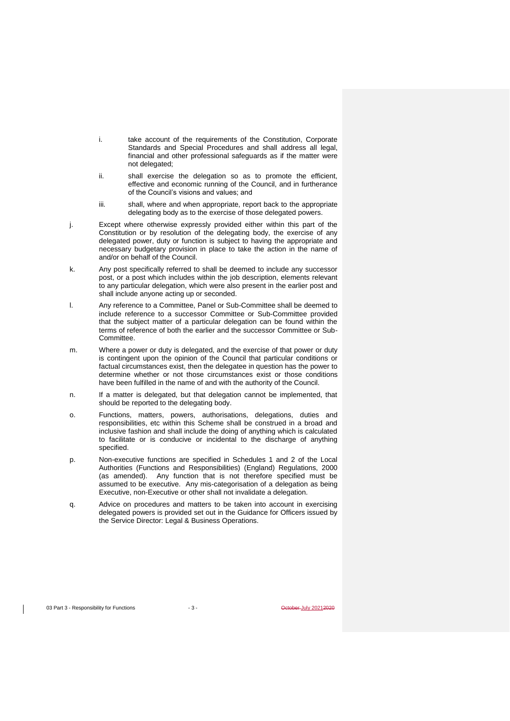- i. take account of the requirements of the Constitution, Corporate Standards and Special Procedures and shall address all legal, financial and other professional safeguards as if the matter were not delegated;
- ii. shall exercise the delegation so as to promote the efficient, effective and economic running of the Council, and in furtherance of the Council's visions and values; and
- iii. shall, where and when appropriate, report back to the appropriate delegating body as to the exercise of those delegated powers.
- j. Except where otherwise expressly provided either within this part of the Constitution or by resolution of the delegating body, the exercise of any delegated power, duty or function is subject to having the appropriate and necessary budgetary provision in place to take the action in the name of and/or on behalf of the Council.
- k. Any post specifically referred to shall be deemed to include any successor post, or a post which includes within the job description, elements relevant to any particular delegation, which were also present in the earlier post and shall include anyone acting up or seconded.
- l. Any reference to a Committee, Panel or Sub-Committee shall be deemed to include reference to a successor Committee or Sub-Committee provided that the subject matter of a particular delegation can be found within the terms of reference of both the earlier and the successor Committee or Sub-Committee.
- m. Where a power or duty is delegated, and the exercise of that power or duty is contingent upon the opinion of the Council that particular conditions or factual circumstances exist, then the delegatee in question has the power to determine whether or not those circumstances exist or those conditions have been fulfilled in the name of and with the authority of the Council.
- n. If a matter is delegated, but that delegation cannot be implemented, that should be reported to the delegating body.
- o. Functions, matters, powers, authorisations, delegations, duties and responsibilities, etc within this Scheme shall be construed in a broad and inclusive fashion and shall include the doing of anything which is calculated to facilitate or is conducive or incidental to the discharge of anything specified.
- p. Non-executive functions are specified in Schedules 1 and 2 of the Local Authorities (Functions and Responsibilities) (England) Regulations, 2000 (as amended). Any function that is not therefore specified must be assumed to be executive. Any mis-categorisation of a delegation as being Executive, non-Executive or other shall not invalidate a delegation.
- q. Advice on procedures and matters to be taken into account in exercising delegated powers is provided set out in the Guidance for Officers issued by the Service Director: Legal & Business Operations.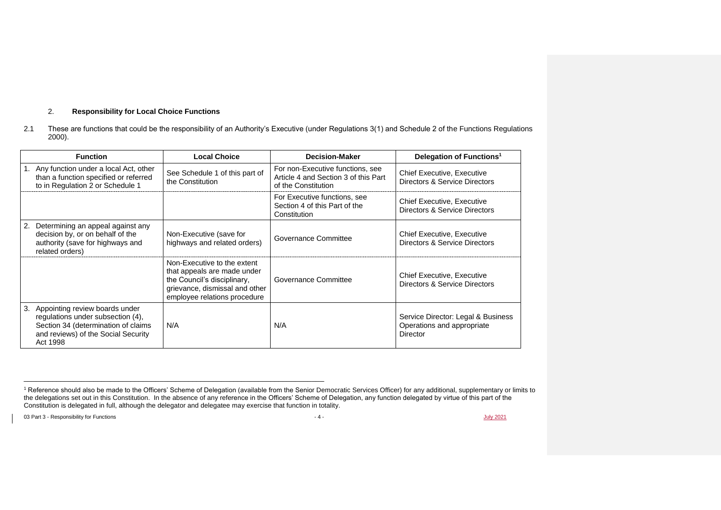## 2. **Responsibility for Local Choice Functions**

 $\overline{a}$  ,  $\overline{a}$  ,  $\overline{a}$  ,  $\overline{a}$  ,  $\overline{a}$  ,  $\overline{a}$  ,  $\overline{a}$  ,  $\overline{a}$  ,  $\overline{a}$  ,  $\overline{a}$  ,  $\overline{a}$  ,  $\overline{a}$  ,  $\overline{a}$  ,  $\overline{a}$  ,  $\overline{a}$  ,  $\overline{a}$  ,  $\overline{a}$  ,  $\overline{a}$  ,  $\overline{a}$  ,  $\overline{a}$  ,

2.1 These are functions that could be the responsibility of an Authority's Executive (under Regulations 3(1) and Schedule 2 of the Functions Regulations 2000).

|    | <b>Function</b>                                                                                                                                               | <b>Local Choice</b>                                                                                                                                         | <b>Decision-Maker</b>                                                                           | Delegation of Functions <sup>1</sup>                                                |
|----|---------------------------------------------------------------------------------------------------------------------------------------------------------------|-------------------------------------------------------------------------------------------------------------------------------------------------------------|-------------------------------------------------------------------------------------------------|-------------------------------------------------------------------------------------|
|    | 1. Any function under a local Act, other<br>than a function specified or referred<br>to in Regulation 2 or Schedule 1                                         | See Schedule 1 of this part of<br>the Constitution                                                                                                          | For non-Executive functions, see<br>Article 4 and Section 3 of this Part<br>of the Constitution | <b>Chief Executive, Executive</b><br>Directors & Service Directors                  |
|    |                                                                                                                                                               |                                                                                                                                                             | For Executive functions, see<br>Section 4 of this Part of the<br>Constitution                   | <b>Chief Executive, Executive</b><br>Directors & Service Directors                  |
|    | 2. Determining an appeal against any<br>decision by, or on behalf of the<br>authority (save for highways and<br>related orders)                               | Non-Executive (save for<br>highways and related orders)                                                                                                     | Governance Committee                                                                            | <b>Chief Executive, Executive</b><br>Directors & Service Directors                  |
|    |                                                                                                                                                               | Non-Executive to the extent<br>that appeals are made under<br>the Council's disciplinary,<br>grievance, dismissal and other<br>employee relations procedure | Governance Committee                                                                            | <b>Chief Executive, Executive</b><br>Directors & Service Directors                  |
| 3. | Appointing review boards under<br>regulations under subsection (4),<br>Section 34 (determination of claims<br>and reviews) of the Social Security<br>Act 1998 | N/A                                                                                                                                                         | N/A                                                                                             | Service Director: Legal & Business<br>Operations and appropriate<br><b>Director</b> |

03 Part 3 - Responsibility for Functions  $J_{\text{ulv}} 2021$ 

<sup>&</sup>lt;sup>1</sup> Reference should also be made to the Officers' Scheme of Delegation (available from the Senior Democratic Services Officer) for any additional, supplementary or limits to the delegations set out in this Constitution. In the absence of any reference in the Officers' Scheme of Delegation, any function delegated by virtue of this part of the Constitution is delegated in full, although the delegator and delegatee may exercise that function in totality.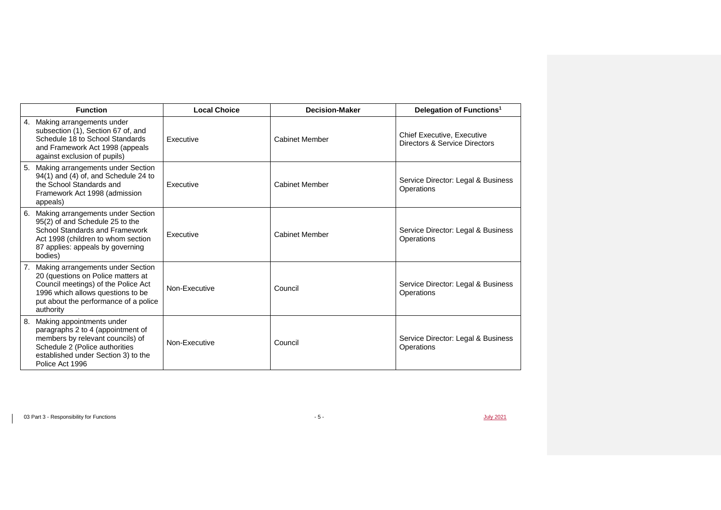|    | <b>Function</b>                                                                                                                                                                                           | <b>Local Choice</b> | <b>Decision-Maker</b> | Delegation of Functions <sup>1</sup>                               |
|----|-----------------------------------------------------------------------------------------------------------------------------------------------------------------------------------------------------------|---------------------|-----------------------|--------------------------------------------------------------------|
|    | 4. Making arrangements under<br>subsection (1), Section 67 of, and<br>Schedule 18 to School Standards<br>and Framework Act 1998 (appeals<br>against exclusion of pupils)                                  | Executive           | <b>Cabinet Member</b> | <b>Chief Executive, Executive</b><br>Directors & Service Directors |
| 5. | Making arrangements under Section<br>94(1) and (4) of, and Schedule 24 to<br>the School Standards and<br>Framework Act 1998 (admission<br>appeals)                                                        | Executive           | <b>Cabinet Member</b> | Service Director: Legal & Business<br>Operations                   |
| 6. | Making arrangements under Section<br>95(2) of and Schedule 25 to the<br>School Standards and Framework<br>Act 1998 (children to whom section<br>87 applies: appeals by governing<br>bodies)               | Executive           | <b>Cabinet Member</b> | Service Director: Legal & Business<br>Operations                   |
|    | Making arrangements under Section<br>20 (questions on Police matters at<br>Council meetings) of the Police Act<br>1996 which allows questions to be<br>put about the performance of a police<br>authority | Non-Executive       | Council               | Service Director: Legal & Business<br>Operations                   |
| 8. | Making appointments under<br>paragraphs 2 to 4 (appointment of<br>members by relevant councils) of<br>Schedule 2 (Police authorities<br>established under Section 3) to the<br>Police Act 1996            | Non-Executive       | Council               | Service Director: Legal & Business<br>Operations                   |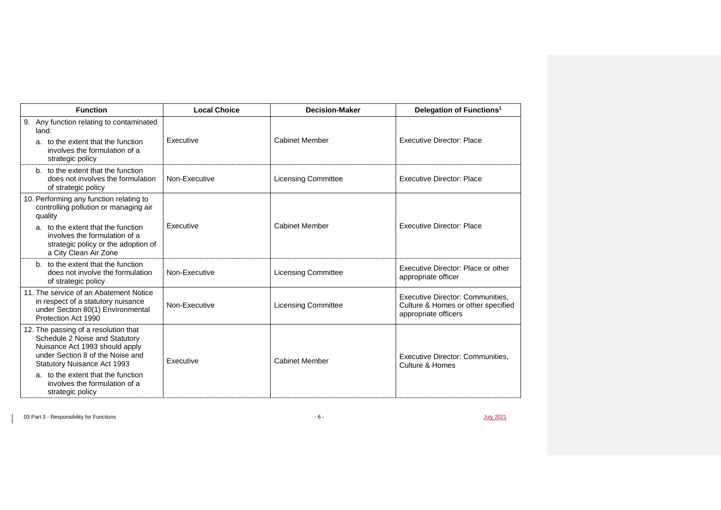| <b>Function</b>                                                                                                                                                             | <b>Decision-Maker</b><br><b>Local Choice</b> | Delegation of Functions <sup>1</sup> |                                                                                                |
|-----------------------------------------------------------------------------------------------------------------------------------------------------------------------------|----------------------------------------------|--------------------------------------|------------------------------------------------------------------------------------------------|
| 9. Any function relating to contaminated<br>land:                                                                                                                           |                                              |                                      |                                                                                                |
| a. to the extent that the function<br>involves the formulation of a<br>strategic policy                                                                                     | Executive                                    | <b>Cabinet Member</b>                | <b>Executive Director: Place</b>                                                               |
| b. to the extent that the function<br>does not involves the formulation<br>of strategic policy                                                                              | Non-Executive                                | <b>Licensing Committee</b>           | <b>Executive Director: Place</b>                                                               |
| 10. Performing any function relating to<br>controlling pollution or managing air<br>quality                                                                                 |                                              |                                      |                                                                                                |
| a. to the extent that the function<br>involves the formulation of a<br>strategic policy or the adoption of<br>a City Clean Air Zone                                         | <b>Fxecutive</b>                             | <b>Cabinet Member</b>                | <b>Executive Director: Place</b>                                                               |
| b. to the extent that the function<br>does not involve the formulation<br>of strategic policy                                                                               | Non-Executive                                | <b>Licensing Committee</b>           | Executive Director: Place or other<br>appropriate officer                                      |
| 11. The service of an Abatement Notice<br>in respect of a statutory nuisance<br>under Section 80(1) Environmental<br>Protection Act 1990                                    | Non-Executive                                | <b>Licensing Committee</b>           | Executive Director: Communities.<br>Culture & Homes or other specified<br>appropriate officers |
| 12. The passing of a resolution that<br>Schedule 2 Noise and Statutory<br>Nuisance Act 1993 should apply<br>under Section 8 of the Noise and<br>Statutory Nuisance Act 1993 | Executive                                    | <b>Cabinet Member</b>                | Executive Director: Communities.<br>Culture & Homes                                            |
| a. to the extent that the function<br>involves the formulation of a<br>strategic policy                                                                                     |                                              |                                      |                                                                                                |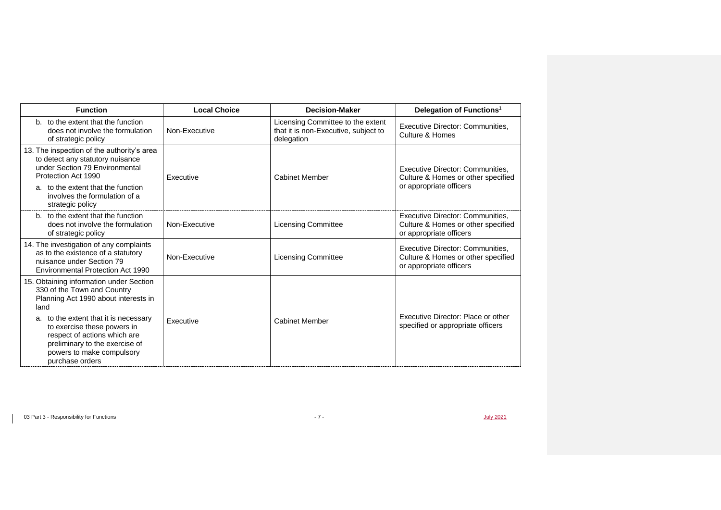| <b>Function</b>                                                                                                                                                                        | <b>Local Choice</b> | <b>Decision-Maker</b>                                                                   | Delegation of Functions <sup>1</sup>                                                              |
|----------------------------------------------------------------------------------------------------------------------------------------------------------------------------------------|---------------------|-----------------------------------------------------------------------------------------|---------------------------------------------------------------------------------------------------|
| b. to the extent that the function<br>does not involve the formulation<br>of strategic policy                                                                                          | Non-Executive       | Licensing Committee to the extent<br>that it is non-Executive, subject to<br>delegation | Executive Director: Communities.<br>Culture & Homes                                               |
| 13. The inspection of the authority's area<br>to detect any statutory nuisance<br>under Section 79 Environmental<br>Protection Act 1990                                                | Executive           | <b>Cabinet Member</b>                                                                   | Executive Director: Communities.<br>Culture & Homes or other specified                            |
| a. to the extent that the function<br>involves the formulation of a<br>strategic policy                                                                                                |                     |                                                                                         | or appropriate officers                                                                           |
| b. to the extent that the function<br>does not involve the formulation<br>of strategic policy                                                                                          | Non-Executive       | <b>Licensing Committee</b>                                                              | Executive Director: Communities,<br>Culture & Homes or other specified<br>or appropriate officers |
| 14. The investigation of any complaints<br>as to the existence of a statutory<br>nuisance under Section 79<br>Environmental Protection Act 1990                                        | Non-Executive       | <b>Licensing Committee</b>                                                              | Executive Director: Communities,<br>Culture & Homes or other specified<br>or appropriate officers |
| 15. Obtaining information under Section<br>330 of the Town and Country<br>Planning Act 1990 about interests in<br>land                                                                 |                     |                                                                                         |                                                                                                   |
| a. to the extent that it is necessary<br>to exercise these powers in<br>respect of actions which are<br>preliminary to the exercise of<br>powers to make compulsory<br>purchase orders | Executive           | <b>Cabinet Member</b>                                                                   | Executive Director: Place or other<br>specified or appropriate officers                           |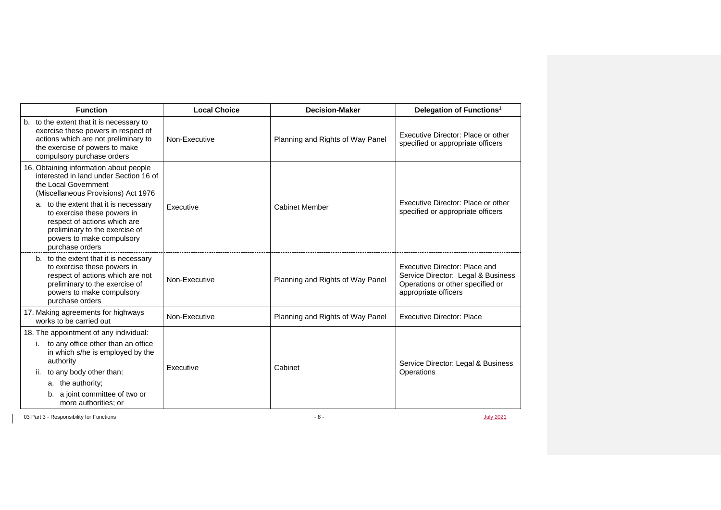| <b>Function</b>                                                                                                                                                                                                                                                                                                                           | <b>Local Choice</b> | <b>Decision-Maker</b>            | Delegation of Functions <sup>1</sup>                                                                                            |
|-------------------------------------------------------------------------------------------------------------------------------------------------------------------------------------------------------------------------------------------------------------------------------------------------------------------------------------------|---------------------|----------------------------------|---------------------------------------------------------------------------------------------------------------------------------|
| b. to the extent that it is necessary to<br>exercise these powers in respect of<br>actions which are not preliminary to<br>the exercise of powers to make<br>compulsory purchase orders                                                                                                                                                   | Non-Executive       | Planning and Rights of Way Panel | Executive Director: Place or other<br>specified or appropriate officers                                                         |
| 16. Obtaining information about people<br>interested in land under Section 16 of<br>the Local Government<br>(Miscellaneous Provisions) Act 1976<br>a. to the extent that it is necessary<br>to exercise these powers in<br>respect of actions which are<br>preliminary to the exercise of<br>powers to make compulsory<br>purchase orders | Executive           | <b>Cabinet Member</b>            | Executive Director: Place or other<br>specified or appropriate officers                                                         |
| b. to the extent that it is necessary<br>to exercise these powers in<br>respect of actions which are not<br>preliminary to the exercise of<br>powers to make compulsory<br>purchase orders                                                                                                                                                | Non-Executive       | Planning and Rights of Way Panel | Executive Director: Place and<br>Service Director: Legal & Business<br>Operations or other specified or<br>appropriate officers |
| 17. Making agreements for highways<br>works to be carried out                                                                                                                                                                                                                                                                             | Non-Executive       | Planning and Rights of Way Panel | <b>Executive Director: Place</b>                                                                                                |
| 18. The appointment of any individual:<br>to any office other than an office<br>in which s/he is employed by the<br>authority<br>to any body other than:<br>ii.<br>a. the authority;<br>b. a joint committee of two or<br>more authorities; or                                                                                            | <b>Fxecutive</b>    | Cabinet                          | Service Director: Legal & Business<br>Operations                                                                                |

03 Part 3 - Responsibility for Functions - 8 - July 2021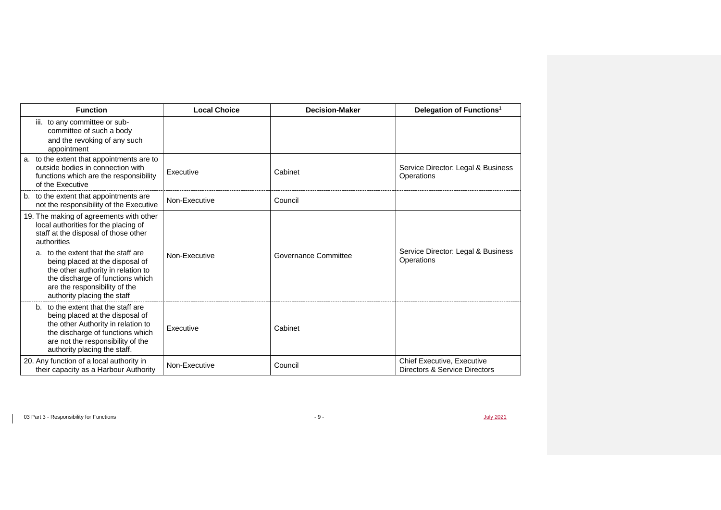| <b>Function</b>                                                                                                                                                                                                                                                                                                                                            | <b>Local Choice</b> | <b>Decision-Maker</b> | Delegation of Functions <sup>1</sup>                               |
|------------------------------------------------------------------------------------------------------------------------------------------------------------------------------------------------------------------------------------------------------------------------------------------------------------------------------------------------------------|---------------------|-----------------------|--------------------------------------------------------------------|
| iii. to any committee or sub-<br>committee of such a body<br>and the revoking of any such<br>appointment                                                                                                                                                                                                                                                   |                     |                       |                                                                    |
| a. to the extent that appointments are to<br>outside bodies in connection with<br>functions which are the responsibility<br>of the Executive                                                                                                                                                                                                               | Executive           | Cabinet               | Service Director: Legal & Business<br>Operations                   |
| b. to the extent that appointments are<br>not the responsibility of the Executive                                                                                                                                                                                                                                                                          | Non-Executive       | Council               |                                                                    |
| 19. The making of agreements with other<br>local authorities for the placing of<br>staff at the disposal of those other<br>authorities<br>a. to the extent that the staff are<br>being placed at the disposal of<br>the other authority in relation to<br>the discharge of functions which<br>are the responsibility of the<br>authority placing the staff | Non-Executive       | Governance Committee  | Service Director: Legal & Business<br>Operations                   |
| b. to the extent that the staff are<br>being placed at the disposal of<br>the other Authority in relation to<br>the discharge of functions which<br>are not the responsibility of the<br>authority placing the staff.                                                                                                                                      | Executive           | Cabinet               |                                                                    |
| 20. Any function of a local authority in<br>their capacity as a Harbour Authority                                                                                                                                                                                                                                                                          | Non-Executive       | Council               | <b>Chief Executive, Executive</b><br>Directors & Service Directors |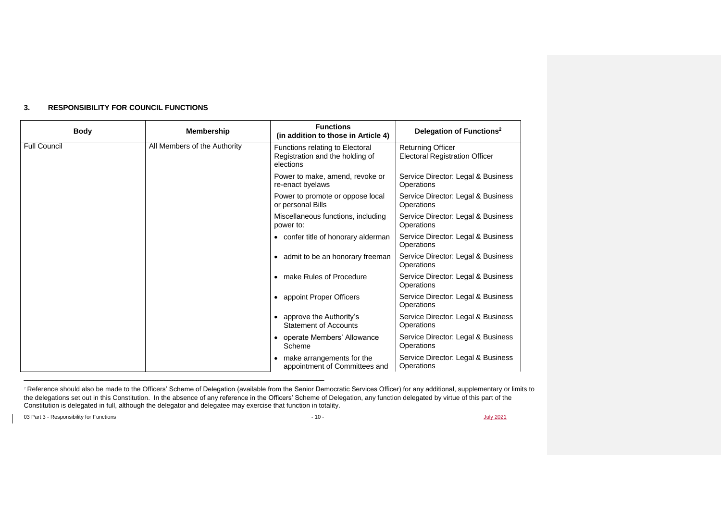| <b>Body</b>         | <b>Membership</b>            | <b>Functions</b><br>(in addition to those in Article 4)                         | Delegation of Functions <sup>2</sup>                              |
|---------------------|------------------------------|---------------------------------------------------------------------------------|-------------------------------------------------------------------|
| <b>Full Council</b> | All Members of the Authority | Functions relating to Electoral<br>Registration and the holding of<br>elections | <b>Returning Officer</b><br><b>Electoral Registration Officer</b> |
|                     |                              | Power to make, amend, revoke or<br>re-enact byelaws                             | Service Director: Legal & Business<br>Operations                  |
|                     |                              | Power to promote or oppose local<br>or personal Bills                           | Service Director: Legal & Business<br>Operations                  |
|                     |                              | Miscellaneous functions, including<br>power to:                                 | Service Director: Legal & Business<br>Operations                  |
|                     |                              | • confer title of honorary alderman                                             | Service Director: Legal & Business<br>Operations                  |
|                     |                              | • admit to be an honorary freeman                                               | Service Director: Legal & Business<br>Operations                  |
|                     |                              | • make Rules of Procedure                                                       | Service Director: Legal & Business<br>Operations                  |
|                     |                              | • appoint Proper Officers                                                       | Service Director: Legal & Business<br>Operations                  |
|                     |                              | approve the Authority's<br><b>Statement of Accounts</b>                         | Service Director: Legal & Business<br>Operations                  |
|                     |                              | • operate Members' Allowance<br>Scheme                                          | Service Director: Legal & Business<br>Operations                  |
|                     |                              | make arrangements for the<br>appointment of Committees and                      | Service Director: Legal & Business<br>Operations                  |

## **3. RESPONSIBILITY FOR COUNCIL FUNCTIONS**

 $\overline{a}$  ,  $\overline{a}$  ,  $\overline{a}$  ,  $\overline{a}$  ,  $\overline{a}$  ,  $\overline{a}$  ,  $\overline{a}$  ,  $\overline{a}$  ,  $\overline{a}$  ,  $\overline{a}$  ,  $\overline{a}$  ,  $\overline{a}$  ,  $\overline{a}$  ,  $\overline{a}$  ,  $\overline{a}$  ,  $\overline{a}$  ,  $\overline{a}$  ,  $\overline{a}$  ,  $\overline{a}$  ,  $\overline{a}$  ,

03 Part 3 - Responsibility for Functions  $J_{\text{ulv}} 2021$ 

<sup>&</sup>lt;sup>2</sup> Reference should also be made to the Officers' Scheme of Delegation (available from the Senior Democratic Services Officer) for any additional, supplementary or limits to the delegations set out in this Constitution. In the absence of any reference in the Officers' Scheme of Delegation, any function delegated by virtue of this part of the Constitution is delegated in full, although the delegator and delegatee may exercise that function in totality.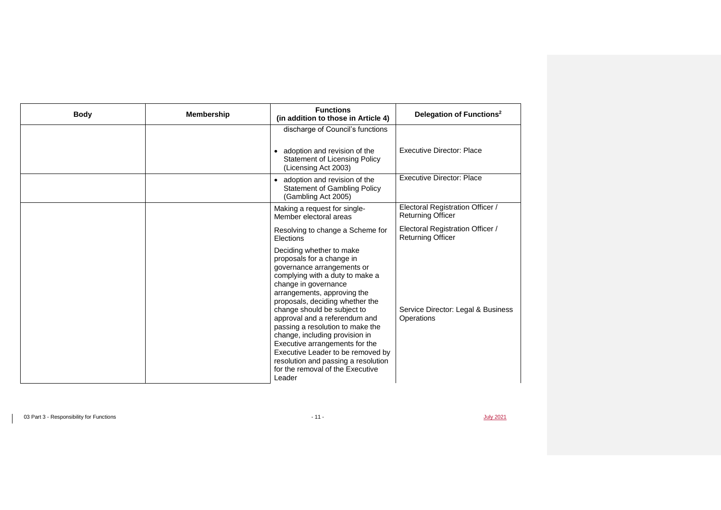| <b>Body</b> | <b>Membership</b> | <b>Functions</b><br>(in addition to those in Article 4)                                                                                                                                                                                                                                                                                                                                                                                                                                                            | Delegation of Functions <sup>2</sup>                         |
|-------------|-------------------|--------------------------------------------------------------------------------------------------------------------------------------------------------------------------------------------------------------------------------------------------------------------------------------------------------------------------------------------------------------------------------------------------------------------------------------------------------------------------------------------------------------------|--------------------------------------------------------------|
|             |                   | discharge of Council's functions<br>• adoption and revision of the<br><b>Statement of Licensing Policy</b><br>(Licensing Act 2003)                                                                                                                                                                                                                                                                                                                                                                                 | <b>Executive Director: Place</b>                             |
|             |                   | • adoption and revision of the<br><b>Statement of Gambling Policy</b><br>(Gambling Act 2005)                                                                                                                                                                                                                                                                                                                                                                                                                       | <b>Executive Director: Place</b>                             |
|             |                   | Making a request for single-<br>Member electoral areas                                                                                                                                                                                                                                                                                                                                                                                                                                                             | Electoral Registration Officer /<br><b>Returning Officer</b> |
|             |                   | Resolving to change a Scheme for<br>Elections                                                                                                                                                                                                                                                                                                                                                                                                                                                                      | Electoral Registration Officer /<br><b>Returning Officer</b> |
|             |                   | Deciding whether to make<br>proposals for a change in<br>governance arrangements or<br>complying with a duty to make a<br>change in governance<br>arrangements, approving the<br>proposals, deciding whether the<br>change should be subject to<br>approval and a referendum and<br>passing a resolution to make the<br>change, including provision in<br>Executive arrangements for the<br>Executive Leader to be removed by<br>resolution and passing a resolution<br>for the removal of the Executive<br>Leader | Service Director: Legal & Business<br>Operations             |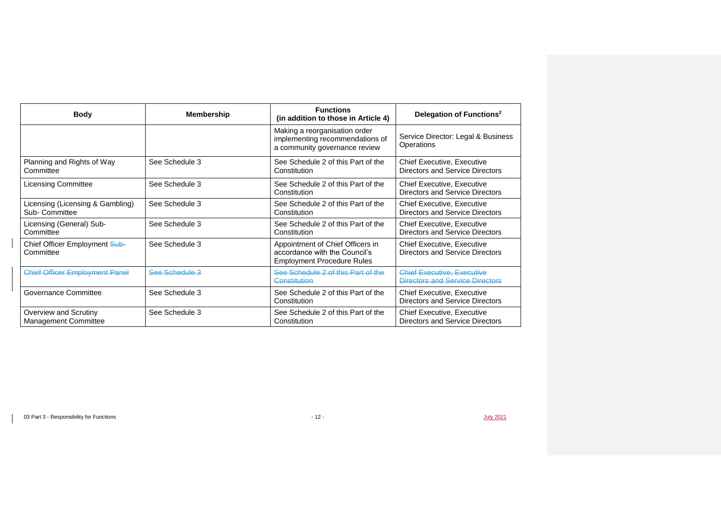| <b>Body</b>                                          | <b>Membership</b> | <b>Functions</b><br>(in addition to those in Article 4)                                                | Delegation of Functions <sup>2</sup>                                        |
|------------------------------------------------------|-------------------|--------------------------------------------------------------------------------------------------------|-----------------------------------------------------------------------------|
|                                                      |                   | Making a reorganisation order<br>implementing recommendations of<br>a community governance review      | Service Director: Legal & Business<br>Operations                            |
| Planning and Rights of Way<br>Committee              | See Schedule 3    | See Schedule 2 of this Part of the<br>Constitution                                                     | <b>Chief Executive, Executive</b><br>Directors and Service Directors        |
| <b>Licensing Committee</b>                           | See Schedule 3    | See Schedule 2 of this Part of the<br>Constitution                                                     | <b>Chief Executive, Executive</b><br>Directors and Service Directors        |
| Licensing (Licensing & Gambling)<br>Sub- Committee   | See Schedule 3    | See Schedule 2 of this Part of the<br>Constitution                                                     | <b>Chief Executive, Executive</b><br>Directors and Service Directors        |
| Licensing (General) Sub-<br>Committee                | See Schedule 3    | See Schedule 2 of this Part of the<br>Constitution                                                     | <b>Chief Executive, Executive</b><br>Directors and Service Directors        |
| Chief Officer Employment Sub-<br>Committee           | See Schedule 3    | Appointment of Chief Officers in<br>accordance with the Council's<br><b>Employment Procedure Rules</b> | <b>Chief Executive, Executive</b><br>Directors and Service Directors        |
| <b>Chief Officer Employment Panel</b>                | See Schedule 3    | See Schedule 2 of this Part of the<br>Constitution                                                     | <b>Chief Executive, Executive</b><br><b>Directors and Service Directors</b> |
| Governance Committee                                 | See Schedule 3    | See Schedule 2 of this Part of the<br>Constitution                                                     | <b>Chief Executive, Executive</b><br>Directors and Service Directors        |
| Overview and Scrutiny<br><b>Management Committee</b> | See Schedule 3    | See Schedule 2 of this Part of the<br>Constitution                                                     | <b>Chief Executive, Executive</b><br>Directors and Service Directors        |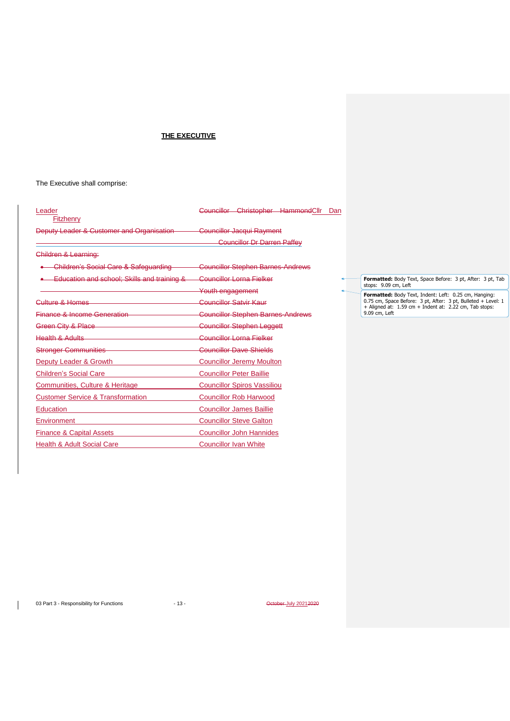## **THE EXECUTIVE**

The Executive shall comprise:

| Leader<br><b>Fitzhenry</b>                   | Councillor Christopher HammondCllr<br>Dan |                 |
|----------------------------------------------|-------------------------------------------|-----------------|
| Deputy Leader & Customer and Organisation    | <b>Councillor Jacqui Rayment</b>          |                 |
|                                              | <b>Councillor Dr Darren Paffey</b>        |                 |
| Children & Learning:                         |                                           |                 |
| Children's Social Care & Safequarding        | <b>Councillor Stephen Barnes-Andrews</b>  |                 |
| Education and school: Skills and training &  | Councillor Lorna Fielker                  | Forr            |
|                                              | Youth engagement                          | stop:<br>Forr   |
| Culture & Homes                              | Councillor Satvir Kaur                    | 0.75<br>$+$ Ali |
| <b>Finance &amp; Income Generation</b>       | <b>Councillor Stephen Barnes-Andrews</b>  | 9.09            |
| Green City & Place                           | <b>Councillor Stephen Leggett</b>         |                 |
| <b>Health &amp; Adults</b>                   | Councillor Lorna Fielker                  |                 |
| <b>Stronger Communities</b>                  | Councillor Dave Shields                   |                 |
| Deputy Leader & Growth                       | <b>Councillor Jeremy Moulton</b>          |                 |
| <b>Children's Social Care</b>                | <b>Councillor Peter Baillie</b>           |                 |
| Communities, Culture & Heritage              | <b>Councillor Spiros Vassiliou</b>        |                 |
| <b>Customer Service &amp; Transformation</b> | <b>Councillor Rob Harwood</b>             |                 |
| <b>Education</b>                             | <b>Councillor James Baillie</b>           |                 |
| Environment                                  | <b>Councillor Steve Galton</b>            |                 |
| <b>Finance &amp; Capital Assets</b>          | <b>Councillor John Hannides</b>           |                 |
| <b>Health &amp; Adult Social Care</b>        | <b>Councillor Ivan White</b>              |                 |

**matted:** Body Text, Space Before: 3 pt, After: 3 pt, Tab<br>s: 9.09 cm, Left stops: 9.09 cm, Left

**Formatted:** Body Text, Indent: Left: 0.25 cm, Hanging:<br>0.75 cm, Space Before: 3 pt, After: 3 pt, Bulleted + Level: 1<br>+ Aligned at: 1.59 cm + Indent at: 2.22 cm, Tab stops:<br>9.09 cm, Left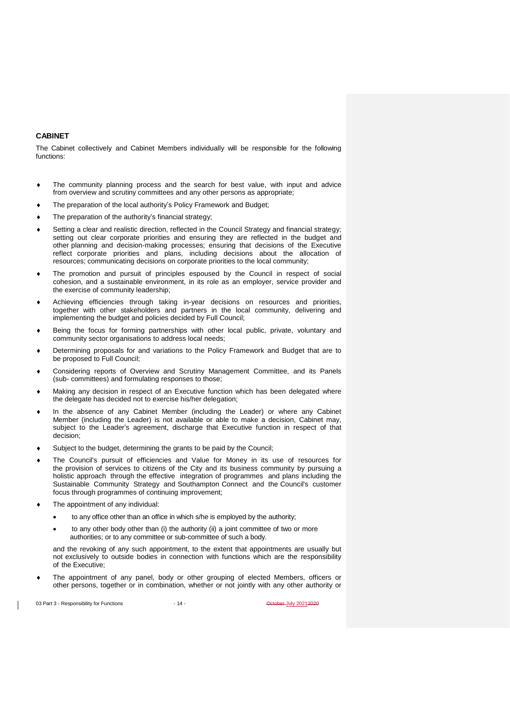## **CABINET**

The Cabinet collectively and Cabinet Members individually will be responsible for the following functions:

- The community planning process and the search for best value, with input and advice from overview and scrutiny committees and any other persons as appropriate;
- The preparation of the local authority's Policy Framework and Budget;
- The preparation of the authority's financial strategy;
- Setting a clear and realistic direction, reflected in the Council Strategy and financial strategy; setting out clear corporate priorities and ensuring they are reflected in the budget and other planning and decision-making processes; ensuring that decisions of the Executive reflect corporate priorities and plans, including decisions about the allocation of resources; communicating decisions on corporate priorities to the local community;
- The promotion and pursuit of principles espoused by the Council in respect of social cohesion, and a sustainable environment, in its role as an employer, service provider and the exercise of community leadership;
- Achieving efficiencies through taking in-year decisions on resources and priorities, together with other stakeholders and partners in the local community, delivering and implementing the budget and policies decided by Full Council;
- Being the focus for forming partnerships with other local public, private, voluntary and community sector organisations to address local needs;
- Determining proposals for and variations to the Policy Framework and Budget that are to be proposed to Full Council;
- Considering reports of Overview and Scrutiny Management Committee, and its Panels (sub- committees) and formulating responses to those;
- Making any decision in respect of an Executive function which has been delegated where the delegate has decided not to exercise his/her delegation;
- In the absence of any Cabinet Member (including the Leader) or where any Cabinet Member (including the Leader) is not available or able to make a decision, Cabinet may, subject to the Leader's agreement, discharge that Executive function in respect of that decision;
- Subject to the budget, determining the grants to be paid by the Council;
- The Council's pursuit of efficiencies and Value for Money in its use of resources for the provision of services to citizens of the City and its business community by pursuing a holistic approach through the effective integration of programmes and plans including the Sustainable Community Strategy and Southampton Connect and the Council's customer focus through programmes of continuing improvement;
- The appointment of any individual:
	- to any office other than an office in which s/he is employed by the authority;
	- to any other body other than (i) the authority (ii) a joint committee of two or more authorities; or to any committee or sub-committee of such a body.

and the revoking of any such appointment, to the extent that appointments are usually but not exclusively to outside bodies in connection with functions which are the responsibility of the Executive;

 The appointment of any panel, body or other grouping of elected Members, officers or other persons, together or in combination, whether or not jointly with any other authority or

03 Part 3 - Responsibility for Functions - 14 - October July 20212020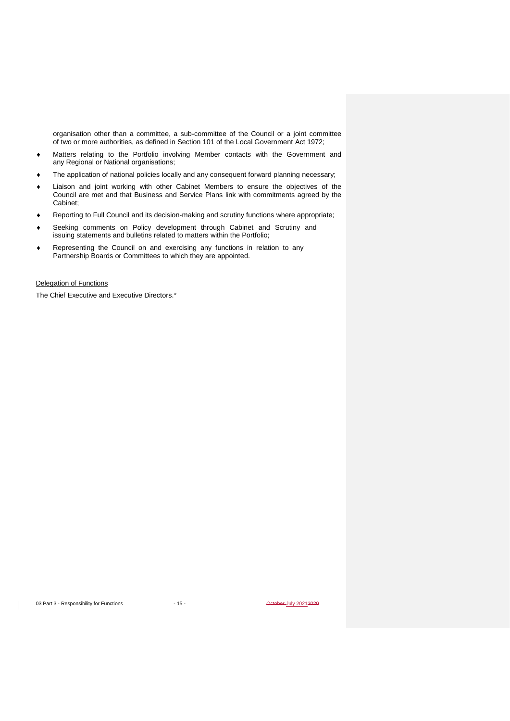organisation other than a committee, a sub-committee of the Council or a joint committee of two or more authorities, as defined in Section 101 of the Local Government Act 1972;

- Matters relating to the Portfolio involving Member contacts with the Government and any Regional or National organisations;
- The application of national policies locally and any consequent forward planning necessary;
- Liaison and joint working with other Cabinet Members to ensure the objectives of the Council are met and that Business and Service Plans link with commitments agreed by the Cabinet;
- Reporting to Full Council and its decision-making and scrutiny functions where appropriate;
- Seeking comments on Policy development through Cabinet and Scrutiny and issuing statements and bulletins related to matters within the Portfolio;
- Representing the Council on and exercising any functions in relation to any Partnership Boards or Committees to which they are appointed.

#### Delegation of Functions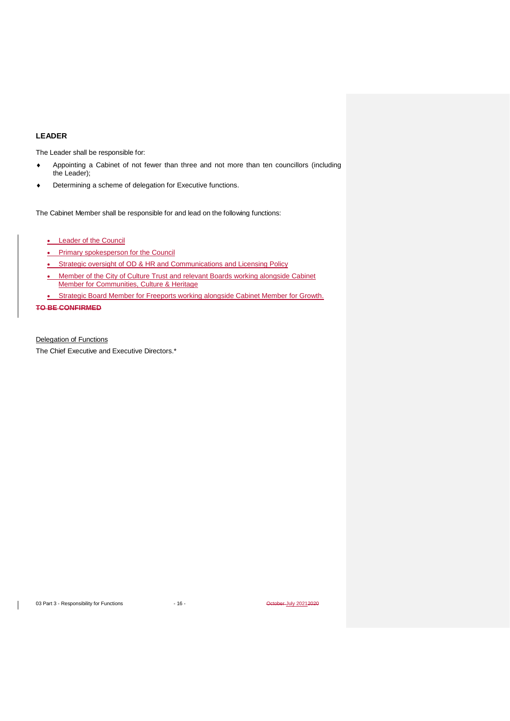## **LEADER**

The Leader shall be responsible for:

- Appointing a Cabinet of not fewer than three and not more than ten councillors (including the Leader);
- Determining a scheme of delegation for Executive functions.

The Cabinet Member shall be responsible for and lead on the following functions:

- Leader of the Council
- Primary spokesperson for the Council
- Strategic oversight of OD & HR and Communications and Licensing Policy
- Member of the City of Culture Trust and relevant Boards working alongside Cabinet Member for Communities, Culture & Heritage
- Strategic Board Member for Freeports working alongside Cabinet Member for Growth. **TO BE CONFIRMED**

Delegation of Functions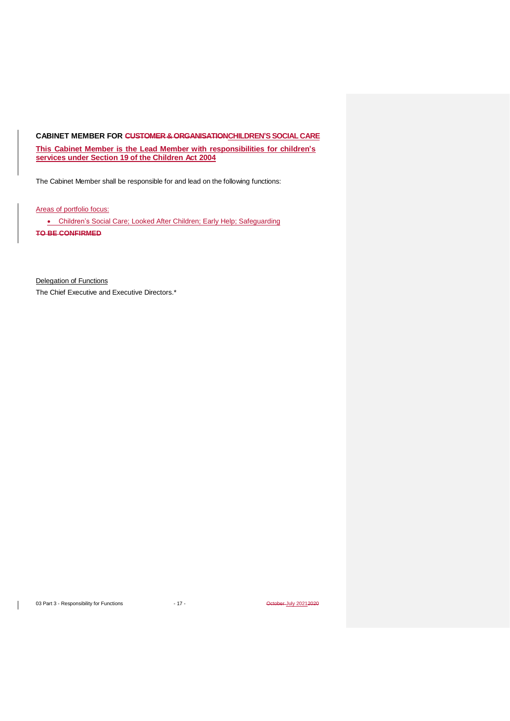## <span id="page-16-0"></span>**CABINET MEMBER FOR CUSTOMER & ORGANISATIONCHILDREN'S SOCIAL CARE**

**This Cabinet Member is the Lead Member with responsibilities for children's services under Section 19 of the Children Act 2004**

The Cabinet Member shall be responsible for and lead on the following functions:

Areas of portfolio focus:

• Children's Social Care; Looked After Children; Early Help; Safeguarding **TO BE CONFIRMED**

Delegation of Functions The Chief Executive and Executive Directors.\*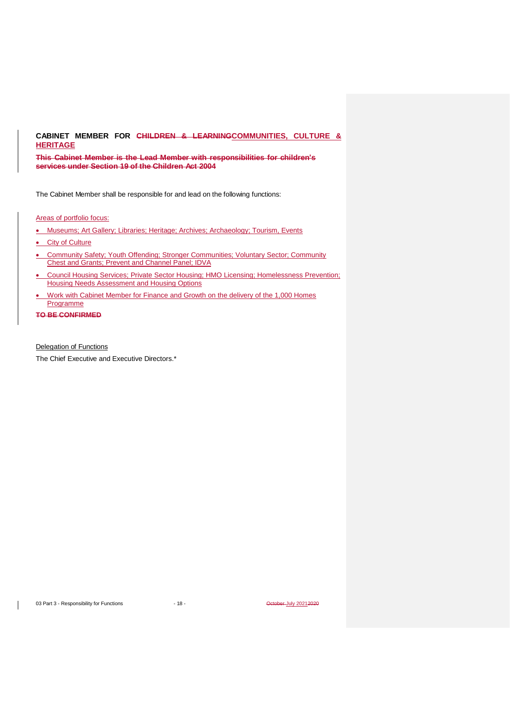## <span id="page-17-0"></span>**CABINET MEMBER FOR CHILDREN & LEARNINGCOMMUNITIES, CULTURE & HERITAGE**

**This Cabinet Member is the Lead Member with responsibilities for children's services under Section 19 of the Children Act 2004**

The Cabinet Member shall be responsible for and lead on the following functions:

#### Areas of portfolio focus:

- Museums; Art Gallery; Libraries; Heritage; Archives; Archaeology; Tourism, Events
- City of Culture
- Community Safety; Youth Offending; Stronger Communities; Voluntary Sector; Community Chest and Grants; Prevent and Channel Panel; IDVA
- Council Housing Services; Private Sector Housing; HMO Licensing; Homelessness Prevention; Housing Needs Assessment and Housing Options
- Work with Cabinet Member for Finance and Growth on the delivery of the 1,000 Homes **Programme**

### **TO BE CONFIRMED**

Delegation of Functions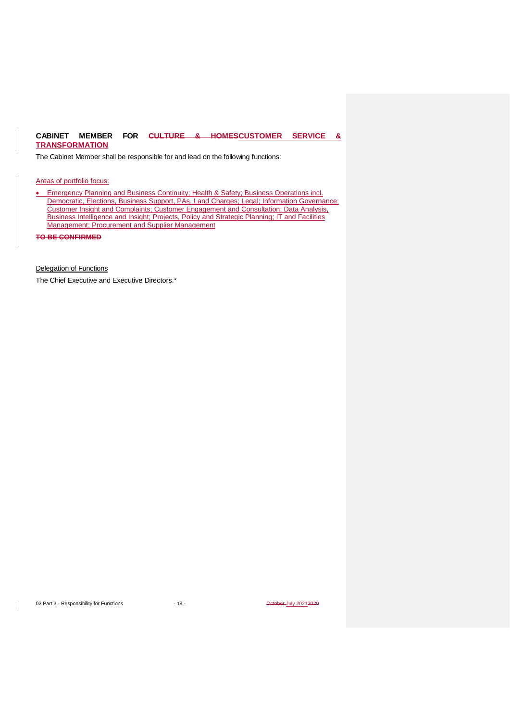## <span id="page-18-0"></span>**CABINET MEMBER FOR CULTURE & HOMESCUSTOMER SERVICE & TRANSFORMATION**

The Cabinet Member shall be responsible for and lead on the following functions:

Areas of portfolio focus:

• Emergency Planning and Business Continuity; Health & Safety; Business Operations incl. Democratic, Elections, Business Support, PAs, Land Charges; Legal; Information Governance; Customer Insight and Complaints; Customer Engagement and Consultation; Data Analysis, Business Intelligence and Insight; Projects, Policy and Strategic Planning; IT and Facilities Management; Procurement and Supplier Management

**TO BE CONFIRMED**

Delegation of Functions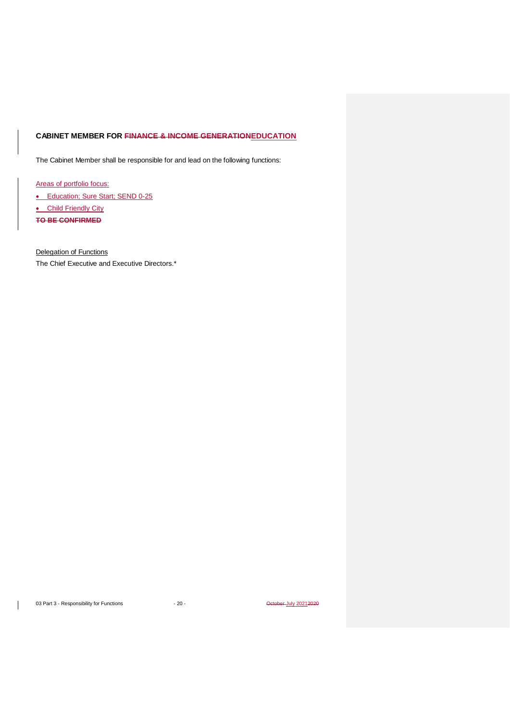## <span id="page-19-0"></span>**CABINET MEMBER FOR FINANCE & INCOME GENERATIONEDUCATION**

The Cabinet Member shall be responsible for and lead on the following functions:

Areas of portfolio focus:

• Education; Sure Start; SEND 0-25

• Child Friendly City

**TO BE CONFIRMED**

Delegation of Functions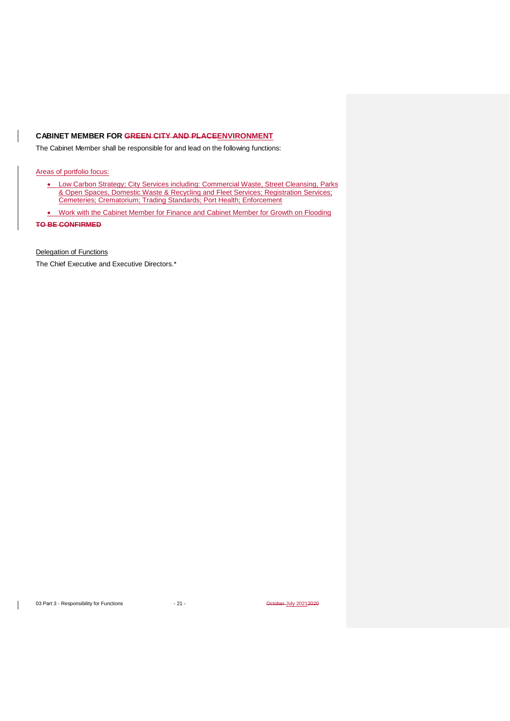## <span id="page-20-0"></span>**CABINET MEMBER FOR GREEN CITY AND PLACEENVIRONMENT**

The Cabinet Member shall be responsible for and lead on the following functions:

Areas of portfolio focus:

- Low Carbon Strategy; City Services including: Commercial Waste, Street Cleansing, Parks & Open Spaces, Domestic Waste & Recycling and Fleet Services; Registration Services; Cemeteries; Crematorium; Trading Standards; Port Health; Enforcement
- Work with the Cabinet Member for Finance and Cabinet Member for Growth on Flooding

**TO BE CONFIRMED**

Delegation of Functions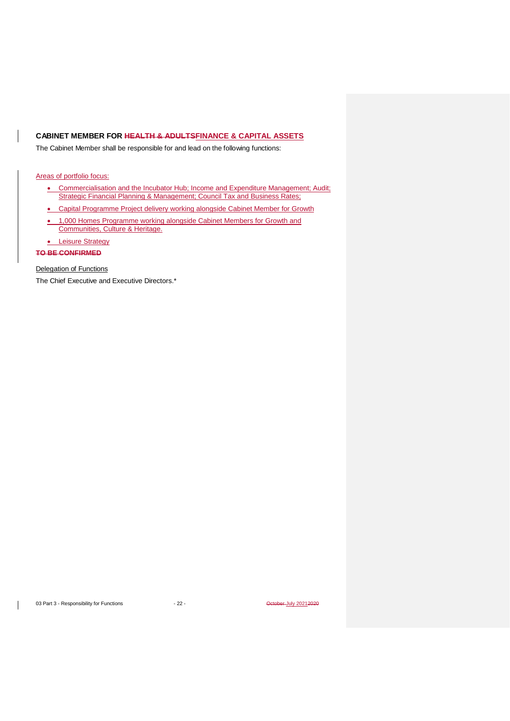## <span id="page-21-0"></span>**CABINET MEMBER FOR HEALTH & ADULTSFINANCE & CAPITAL ASSETS**

The Cabinet Member shall be responsible for and lead on the following functions:

## Areas of portfolio focus:

- Commercialisation and the Incubator Hub; Income and Expenditure Management; Audit; Strategic Financial Planning & Management; Council Tax and Business Rates;
- Capital Programme Project delivery working alongside Cabinet Member for Growth
- 1,000 Homes Programme working alongside Cabinet Members for Growth and Communities, Culture & Heritage.
- Leisure Strategy

**TO BE CONFIRMED**

### Delegation of Functions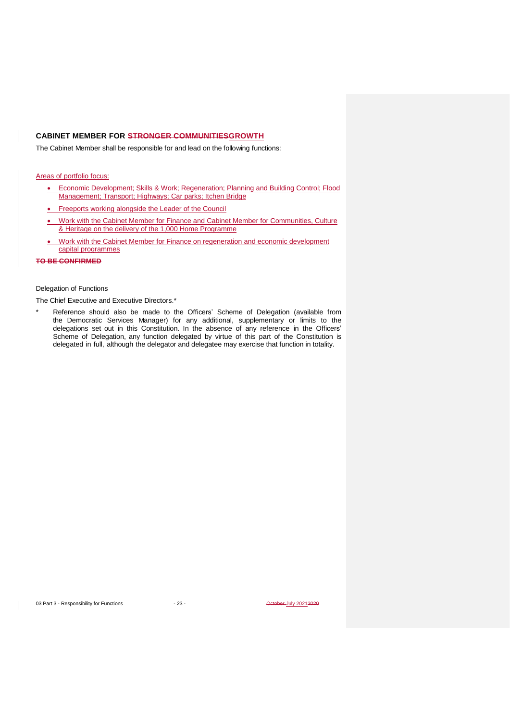## <span id="page-22-0"></span>**CABINET MEMBER FOR STRONGER COMMUNITIESGROWTH**

The Cabinet Member shall be responsible for and lead on the following functions:

### Areas of portfolio focus:

- Economic Development; Skills & Work; Regeneration; Planning and Building Control; Flood Management; Transport; Highways; Car parks; Itchen Bridge
- Freeports working alongside the Leader of the Council
- Work with the Cabinet Member for Finance and Cabinet Member for Communities, Culture & Heritage on the delivery of the 1,000 Home Programme
- Work with the Cabinet Member for Finance on regeneration and economic development capital programmes

## **TO BE CONFIRMED**

## Delegation of Functions

The Chief Executive and Executive Directors.\*

Reference should also be made to the Officers' Scheme of Delegation (available from the Democratic Services Manager) for any additional, supplementary or limits to the delegations set out in this Constitution. In the absence of any reference in the Officers' Scheme of Delegation, any function delegated by virtue of this part of the Constitution is delegated in full, although the delegator and delegatee may exercise that function in totality.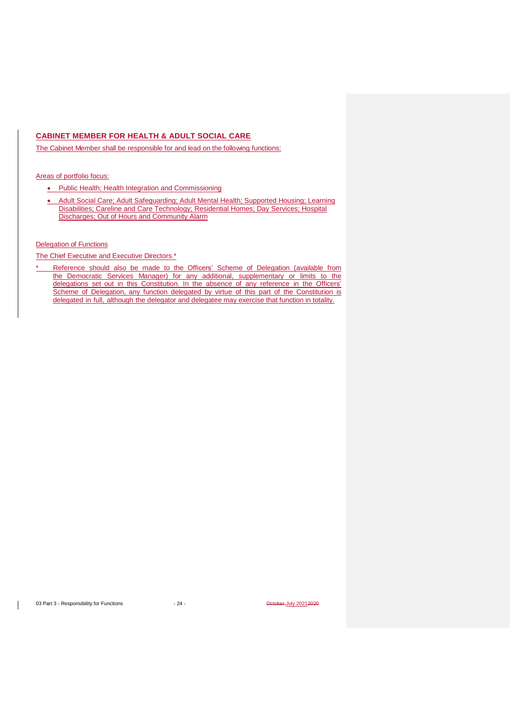## <span id="page-23-0"></span>**CABINET MEMBER FOR HEALTH & ADULT SOCIAL CARE**

The Cabinet Member shall be responsible for and lead on the following functions:

### Areas of portfolio focus:

- Public Health; Health Integration and Commissioning
- Adult Social Care; Adult Safeguarding; Adult Mental Health; Supported Housing; Learning Disabilities; Careline and Care Technology; Residential Homes; Day Services; Hospital Discharges; Out of Hours and Community Alarm

### Delegation of Functions

The Chief Executive and Executive Directors.\*

Reference should also be made to the Officers' Scheme of Delegation (available from the Democratic Services Manager) for any additional, supplementary or limits to the delegations set out in this Constitution. In the absence of any reference in the Officers' Scheme of Delegation, any function delegated by virtue of this part of the Constitution is delegated in full, although the delegator and delegatee may exercise that function in totality.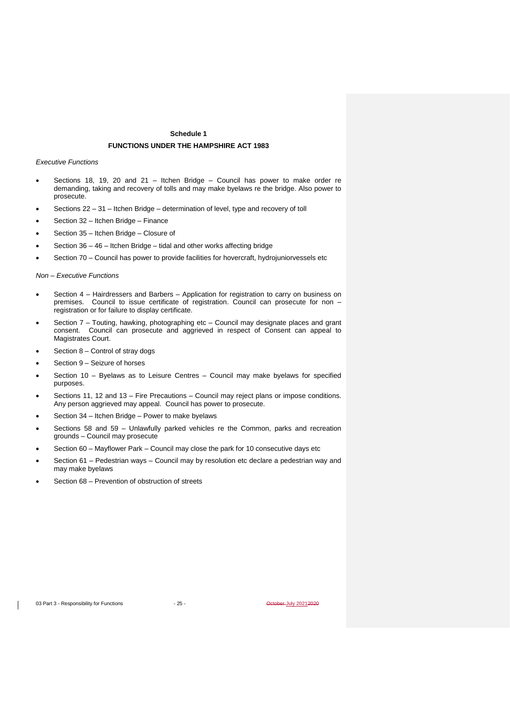## **Schedule 1 FUNCTIONS UNDER THE HAMPSHIRE ACT 1983**

*Executive Functions* 

- Sections 18, 19, 20 and 21 Itchen Bridge Council has power to make order re demanding, taking and recovery of tolls and may make byelaws re the bridge. Also power to prosecute.
- Sections 22 31 Itchen Bridge determination of level, type and recovery of toll
- Section 32 Itchen Bridge Finance
- Section 35 Itchen Bridge Closure of
- Section 36 46 Itchen Bridge tidal and other works affecting bridge
- Section 70 Council has power to provide facilities for hovercraft, hydrojuniorvessels etc

#### *Non – Executive Functions*

- Section 4 Hairdressers and Barbers Application for registration to carry on business on premises. Council to issue certificate of registration. Council can prosecute for non – registration or for failure to display certificate.
- Section 7 Touting, hawking, photographing etc Council may designate places and grant consent. Council can prosecute and aggrieved in respect of Consent can appeal to Magistrates Court.
- Section  $8$  Control of stray dogs
- Section 9 Seizure of horses
- Section 10 Byelaws as to Leisure Centres Council may make byelaws for specified purposes.
- Sections 11, 12 and 13 Fire Precautions Council may reject plans or impose conditions. Any person aggrieved may appeal. Council has power to prosecute.
- Section 34 Itchen Bridge Power to make byelaws
- Sections 58 and 59 Unlawfully parked vehicles re the Common, parks and recreation grounds – Council may prosecute
- Section 60 Mayflower Park Council may close the park for 10 consecutive days etc
- Section 61 Pedestrian ways Council may by resolution etc declare a pedestrian way and may make byelaws
- Section 68 Prevention of obstruction of streets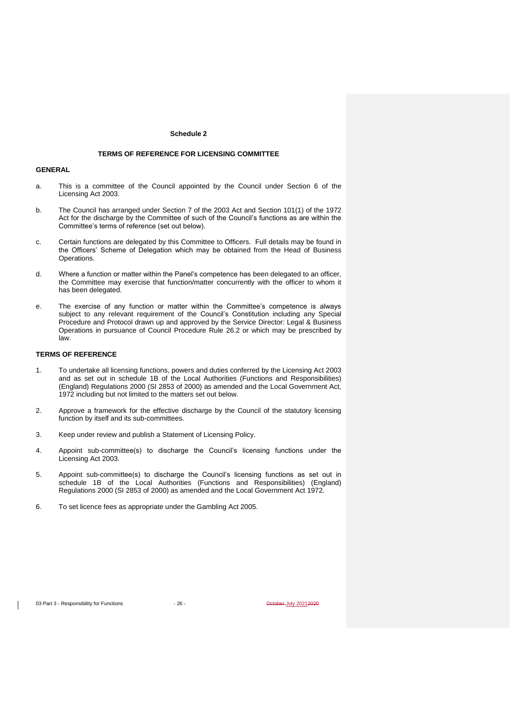#### **Schedule 2**

## **TERMS OF REFERENCE FOR LICENSING COMMITTEE**

#### **GENERAL**

- a. This is a committee of the Council appointed by the Council under Section 6 of the Licensing Act 2003.
- b. The Council has arranged under Section 7 of the 2003 Act and Section 101(1) of the 1972 Act for the discharge by the Committee of such of the Council's functions as are within the Committee's terms of reference (set out below).
- c. Certain functions are delegated by this Committee to Officers. Full details may be found in the Officers' Scheme of Delegation which may be obtained from the Head of Business Operations.
- d. Where a function or matter within the Panel's competence has been delegated to an officer, the Committee may exercise that function/matter concurrently with the officer to whom it has been delegated.
- e. The exercise of any function or matter within the Committee's competence is always subject to any relevant requirement of the Council's Constitution including any Special Procedure and Protocol drawn up and approved by the Service Director: Legal & Business Operations in pursuance of Council Procedure Rule 26.2 or which may be prescribed by law.

### **TERMS OF REFERENCE**

- 1. To undertake all licensing functions, powers and duties conferred by the Licensing Act 2003 and as set out in schedule 1B of the Local Authorities (Functions and Responsibilities) (England) Regulations 2000 (SI 2853 of 2000) as amended and the Local Government Act, 1972 including but not limited to the matters set out below.
- 2. Approve a framework for the effective discharge by the Council of the statutory licensing function by itself and its sub-committees.
- 3. Keep under review and publish a Statement of Licensing Policy.
- 4. Appoint sub-committee(s) to discharge the Council's licensing functions under the Licensing Act 2003.
- 5. Appoint sub-committee(s) to discharge the Council's licensing functions as set out in schedule 1B of the Local Authorities (Functions and Responsibilities) (England) Regulations 2000 (SI 2853 of 2000) as amended and the Local Government Act 1972.
- 6. To set licence fees as appropriate under the Gambling Act 2005.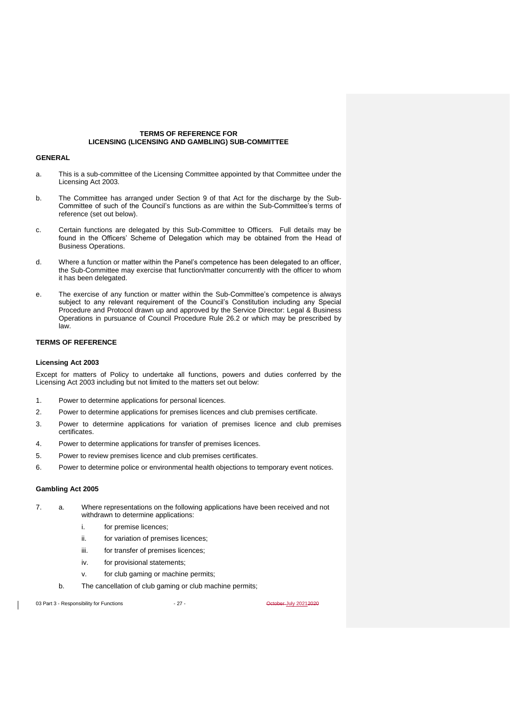### **TERMS OF REFERENCE FOR LICENSING (LICENSING AND GAMBLING) SUB-COMMITTEE**

#### **GENERAL**

- a. This is a sub-committee of the Licensing Committee appointed by that Committee under the Licensing Act 2003.
- b. The Committee has arranged under Section 9 of that Act for the discharge by the Sub-Committee of such of the Council's functions as are within the Sub-Committee's terms of reference (set out below).
- c. Certain functions are delegated by this Sub-Committee to Officers. Full details may be found in the Officers' Scheme of Delegation which may be obtained from the Head of Business Operations.
- d. Where a function or matter within the Panel's competence has been delegated to an officer, the Sub-Committee may exercise that function/matter concurrently with the officer to whom it has been delegated.
- e. The exercise of any function or matter within the Sub-Committee's competence is always subject to any relevant requirement of the Council's Constitution including any Special Procedure and Protocol drawn up and approved by the Service Director: Legal & Business Operations in pursuance of Council Procedure Rule 26.2 or which may be prescribed by law.

## **TERMS OF REFERENCE**

#### **Licensing Act 2003**

Except for matters of Policy to undertake all functions, powers and duties conferred by the Licensing Act 2003 including but not limited to the matters set out below:

- 1. Power to determine applications for personal licences.
- 2. Power to determine applications for premises licences and club premises certificate.
- 3. Power to determine applications for variation of premises licence and club premises certificates.
- 4. Power to determine applications for transfer of premises licences.
- 5. Power to review premises licence and club premises certificates.
- 6. Power to determine police or environmental health objections to temporary event notices.

#### **Gambling Act 2005**

- 7. a. Where representations on the following applications have been received and not withdrawn to determine applications:
	- i. for premise licences;
	- ii. for variation of premises licences;
	- iii. for transfer of premises licences;
	- iv. for provisional statements;
	- v. for club gaming or machine permits;
	- b. The cancellation of club gaming or club machine permits;

03 Part 3 - Responsibility for Functions - 27 - Case 27 - Case 20212020 - 27 - October July 20212020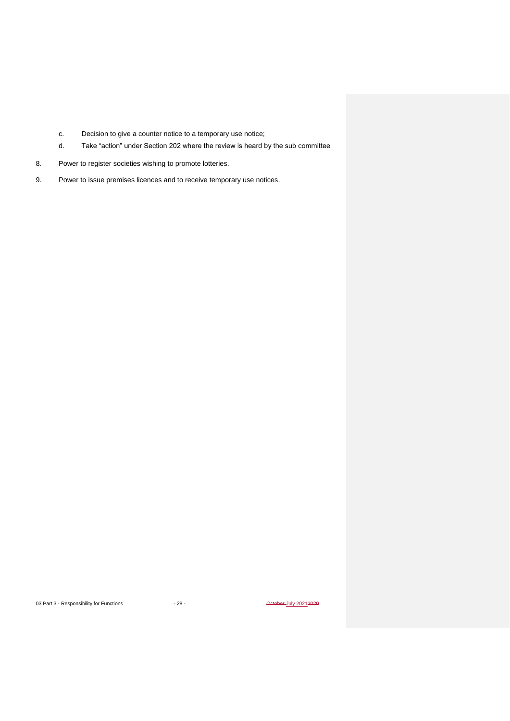- c. Decision to give a counter notice to a temporary use notice;
- d. Take "action" under Section 202 where the review is heard by the sub committee
- 8. Power to register societies wishing to promote lotteries.
- 9. Power to issue premises licences and to receive temporary use notices.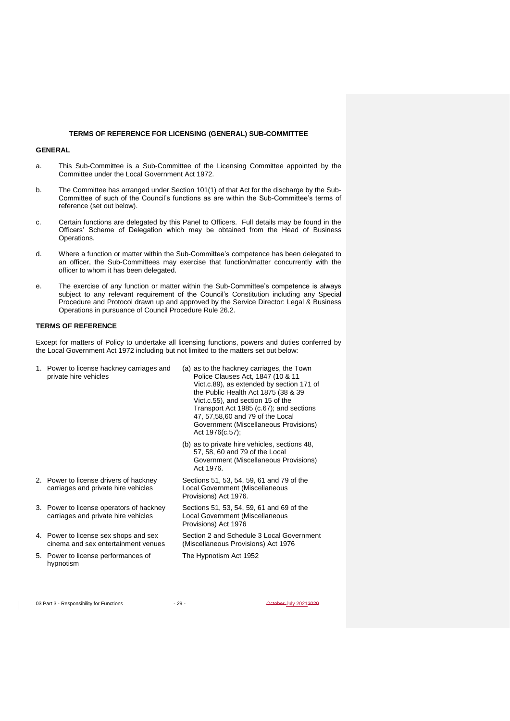#### **TERMS OF REFERENCE FOR LICENSING (GENERAL) SUB-COMMITTEE**

## **GENERAL**

- a. This Sub-Committee is a Sub-Committee of the Licensing Committee appointed by the Committee under the Local Government Act 1972.
- b. The Committee has arranged under Section 101(1) of that Act for the discharge by the Sub-Committee of such of the Council's functions as are within the Sub-Committee's terms of reference (set out below).
- c. Certain functions are delegated by this Panel to Officers. Full details may be found in the Officers' Scheme of Delegation which may be obtained from the Head of Business Operations.
- d. Where a function or matter within the Sub-Committee's competence has been delegated to an officer, the Sub-Committees may exercise that function/matter concurrently with the officer to whom it has been delegated.
- e. The exercise of any function or matter within the Sub-Committee's competence is always subject to any relevant requirement of the Council's Constitution including any Special Procedure and Protocol drawn up and approved by the Service Director: Legal & Business Operations in pursuance of Council Procedure Rule 26.2.

## **TERMS OF REFERENCE**

Except for matters of Policy to undertake all licensing functions, powers and duties conferred by the Local Government Act 1972 including but not limited to the matters set out below:

| 1. Power to license hackney carriages and<br>private hire vehicles              | (a) as to the hackney carriages, the Town<br>Police Clauses Act, 1847 (10 & 11<br>Vict.c.89), as extended by section 171 of<br>the Public Health Act 1875 (38 & 39<br>Vict.c.55), and section 15 of the<br>Transport Act 1985 (c.67); and sections<br>47, 57, 58, 60 and 79 of the Local<br>Government (Miscellaneous Provisions)<br>Act 1976(c.57); |
|---------------------------------------------------------------------------------|------------------------------------------------------------------------------------------------------------------------------------------------------------------------------------------------------------------------------------------------------------------------------------------------------------------------------------------------------|
|                                                                                 | (b) as to private hire vehicles, sections 48,<br>57, 58, 60 and 79 of the Local<br>Government (Miscellaneous Provisions)<br>Act 1976.                                                                                                                                                                                                                |
| 2. Power to license drivers of hackney<br>carriages and private hire vehicles   | Sections 51, 53, 54, 59, 61 and 79 of the<br>Local Government (Miscellaneous<br>Provisions) Act 1976.                                                                                                                                                                                                                                                |
| 3. Power to license operators of hackney<br>carriages and private hire vehicles | Sections 51, 53, 54, 59, 61 and 69 of the<br>Local Government (Miscellaneous<br>Provisions) Act 1976                                                                                                                                                                                                                                                 |
| 4. Power to license sex shops and sex<br>cinema and sex entertainment venues    | Section 2 and Schedule 3 Local Government<br>(Miscellaneous Provisions) Act 1976                                                                                                                                                                                                                                                                     |
| 5. Power to license performances of<br>hypnotism                                | The Hypnotism Act 1952                                                                                                                                                                                                                                                                                                                               |

03 Part 3 - Responsibility for Functions - 29 - 29 - Case of the Case of Australian Control of Australian Control of Australian Control of Australian Control of Australian Control of Australian Control of Australian Contro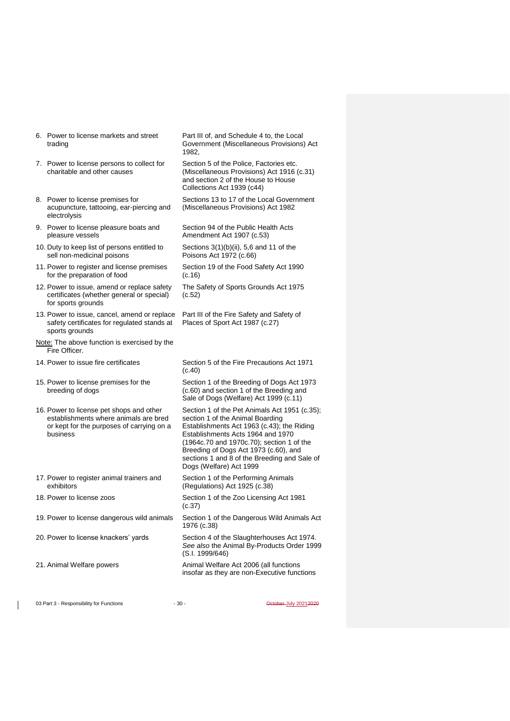| 6. Power to license markets and street |  |
|----------------------------------------|--|
| trading                                |  |

- 7. Power to license persons to collect for charitable and other causes
- 8. Power to license premises for acupuncture, tattooing, ear-piercing and electrolysis
- 9. Power to license pleasure boats and pleasure vessels
- 10. Duty to keep list of persons entitled to sell non-medicinal poisons
- 11. Power to register and license premises for the preparation of food
- 12. Power to issue, amend or replace safety certificates (whether general or special) for sports grounds
- 13. Power to issue, cancel, amend or replace safety certificates for regulated stands at sports grounds
- Note: The above function is exercised by the Fire Officer.
- 
- 15. Power to license premises for the breeding of dogs
- 16. Power to license pet shops and other establishments where animals are bred or kept for the purposes of carrying on a business
- 17. Power to register animal trainers and exhibitors
- 
- 19. Power to license dangerous wild animals Section 1 of the Dangerous Wild Animals Act
- 
- 

Part III of, and Schedule 4 to, the Local Government (Miscellaneous Provisions) Act 1982,

Section 5 of the Police, Factories etc. (Miscellaneous Provisions) Act 1916 (c.31) and section 2 of the House to House Collections Act 1939 (c44)

Sections 13 to 17 of the Local Government (Miscellaneous Provisions) Act 1982

Section 94 of the Public Health Acts Amendment Act 1907 (c.53)

Sections 3(1)(b)(ii), 5,6 and 11 of the Poisons Act 1972 (c.66)

- Section 19 of the Food Safety Act 1990 (c.16)
- The Safety of Sports Grounds Act 1975 (c.52)

Part III of the Fire Safety and Safety of Places of Sport Act 1987 (c.27)

14. Power to issue fire certificates Section 5 of the Fire Precautions Act 1971 (c.40) Section 1 of the Breeding of Dogs Act 1973

(c.60) and section 1 of the Breeding and Sale of Dogs (Welfare) Act 1999 (c.11)

Section 1 of the Pet Animals Act 1951 (c.35); section 1 of the Animal Boarding Establishments Act 1963 (c.43); the Riding Establishments Acts 1964 and 1970 (1964c.70 and 1970c.70); section 1 of the Breeding of Dogs Act 1973 (c.60), and sections 1 and 8 of the Breeding and Sale of Dogs (Welfare) Act 1999

Section 1 of the Performing Animals (Regulations) Act 1925 (c.38)

18. Power to license zoos Section 1 of the Zoo Licensing Act 1981 (c.37)

1976 (c.38)

20. Power to license knackers' yards Section 4 of the Slaughterhouses Act 1974. *See also* the Animal By-Products Order 1999 (S.I. 1999/646)

21. Animal Welfare powers **Animal Welfare Act 2006** (all functions insofar as they are non-Executive functions

03 Part 3 - Responsibility for Functions - 30 - 30 - October July 20212020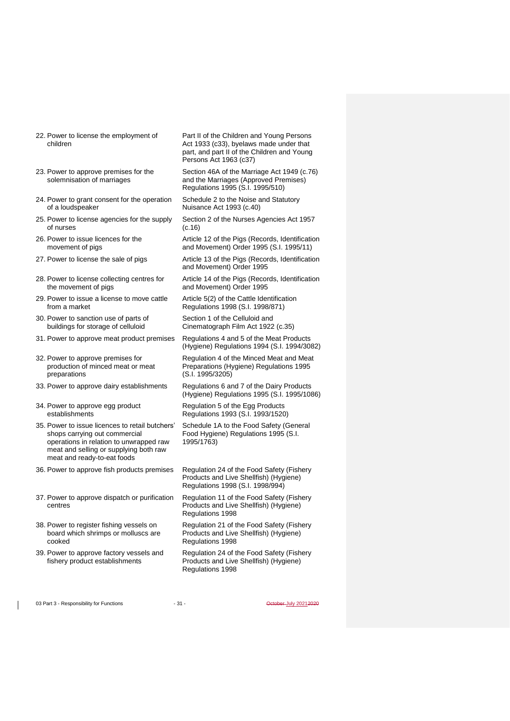- 22. Power to license the employment of children
- 23. Power to approve premises for the solemnisation of marriages
- 24. Power to grant consent for the operation of a loudspeaker
- 25. Power to license agencies for the supply of nurses
- 26. Power to issue licences for the movement of pigs
- 
- 28. Power to license collecting centres for the movement of pigs
- 29. Power to issue a license to move cattle from a market
- 30. Power to sanction use of parts of buildings for storage of celluloid
- 
- 32. Power to approve premises for production of minced meat or meat preparations
- 
- 34. Power to approve egg product establishments
- 35. Power to issue licences to retail butchers' shops carrying out commercial operations in relation to unwrapped raw meat and selling or supplying both raw meat and ready-to-eat foods
- 36. Power to approve fish products premises Regulation 24 of the Food Safety (Fishery
- 37. Power to approve dispatch or purification centres
- 38. Power to register fishing vessels on board which shrimps or molluscs are cooked
- 39. Power to approve factory vessels and fishery product establishments

Part II of the Children and Young Persons Act 1933 (c33), byelaws made under that part, and part II of the Children and Young Persons Act 1963 (c37)

Section 46A of the Marriage Act 1949 (c.76) and the Marriages (Approved Premises) Regulations 1995 (S.I. 1995/510)

Schedule 2 to the Noise and Statutory Nuisance Act 1993 (c.40)

Section 2 of the Nurses Agencies Act 1957 (c.16)

Article 12 of the Pigs (Records, Identification and Movement) Order 1995 (S.I. 1995/11)

27. Power to license the sale of pigs **Article 13 of the Pigs (Records, Identification** and Movement) Order 1995

> Article 14 of the Pigs (Records, Identification and Movement) Order 1995

Article 5(2) of the Cattle Identification Regulations 1998 (S.I. 1998/871)

Section 1 of the Celluloid and Cinematograph Film Act 1922 (c.35)

31. Power to approve meat product premises Regulations 4 and 5 of the Meat Products (Hygiene) Regulations 1994 (S.I. 1994/3082)

> Regulation 4 of the Minced Meat and Meat Preparations (Hygiene) Regulations 1995 (S.I. 1995/3205)

33. Power to approve dairy establishments Regulations 6 and 7 of the Dairy Products (Hygiene) Regulations 1995 (S.I. 1995/1086)

> Regulation 5 of the Egg Products Regulations 1993 (S.I. 1993/1520)

Schedule 1A to the Food Safety (General Food Hygiene) Regulations 1995 (S.I. 1995/1763)

Products and Live Shellfish) (Hygiene) Regulations 1998 (S.I. 1998/994)

Regulation 11 of the Food Safety (Fishery Products and Live Shellfish) (Hygiene) Regulations 1998

Regulation 21 of the Food Safety (Fishery Products and Live Shellfish) (Hygiene) Regulations 1998

Regulation 24 of the Food Safety (Fishery Products and Live Shellfish) (Hygiene) Regulations 1998

03 Part 3 - Responsibility for Functions - 31 - 31 - October July 20212020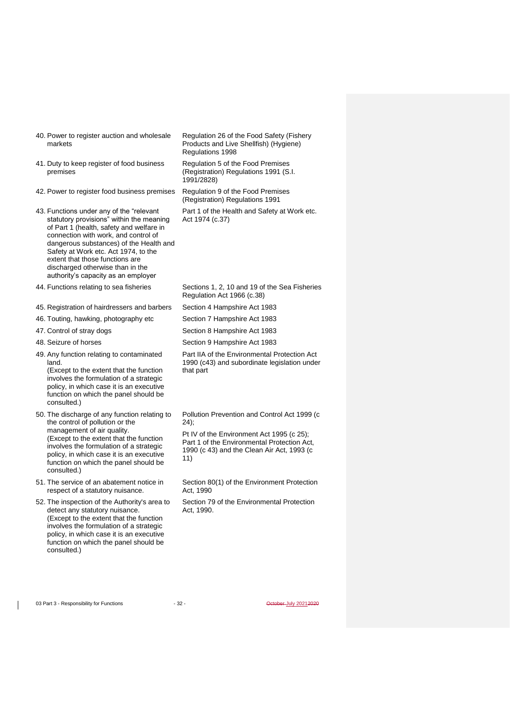- 40. Power to register auction and wholesale markets
- 41. Duty to keep register of food business premises
- 42. Power to register food business premises Regulation 9 of the Food Premises
- 43. Functions under any of the "relevant statutory provisions" within the meaning of Part 1 (health, safety and welfare in connection with work, and control of dangerous substances) of the Health and Safety at Work etc. Act 1974, to the extent that those functions are discharged otherwise than in the authority's capacity as an employer
- 44. Functions relating to sea fisheries Sections 1, 2, 10 and 19 of the Sea Fisheries
- 45. Registration of hairdressers and barbers Section 4 Hampshire Act 1983
- 46. Touting, hawking, photography etc Section 7 Hampshire Act 1983
- 
- 
- 49. Any function relating to contaminated land. (Except to the extent that the function involves the formulation of a strategic policy, in which case it is an executive function on which the panel should be consulted.)
- 50. The discharge of any function relating to the control of pollution or the management of air quality. (Except to the extent that the function involves the formulation of a strategic policy, in which case it is an executive function on which the panel should be consulted.)
- 51. The service of an abatement notice in respect of a statutory nuisance.
- 52. The inspection of the Authority's area to detect any statutory nuisance. (Except to the extent that the function involves the formulation of a strategic policy, in which case it is an executive function on which the panel should be consulted.)

Regulation 26 of the Food Safety (Fishery Products and Live Shellfish) (Hygiene) Regulations 1998

Regulation 5 of the Food Premises (Registration) Regulations 1991 (S.I. 1991/2828)

(Registration) Regulations 1991

Part 1 of the Health and Safety at Work etc. Act 1974 (c.37)

Regulation Act 1966 (c.38)

- 47. Control of stray dogs Section 8 Hampshire Act 1983
- 48. Seizure of horses Section 9 Hampshire Act 1983

Part IIA of the Environmental Protection Act 1990 (c43) and subordinate legislation under that part

Pollution Prevention and Control Act 1999 (c 24);

Pt IV of the Environment Act 1995 (c 25); Part 1 of the Environmental Protection Act, 1990 (c 43) and the Clean Air Act, 1993 (c 11)

Section 80(1) of the Environment Protection Act, 1990

Section 79 of the Environmental Protection Act, 1990.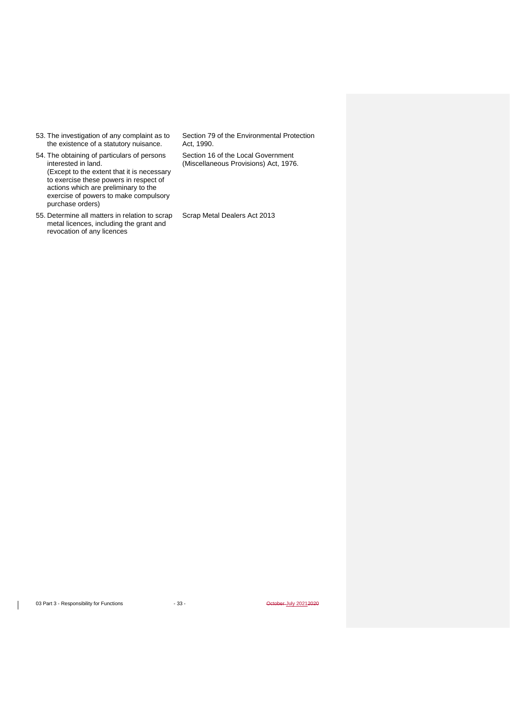53. The investigation of any complaint as to the existence of a statutory nuisance.

54. The obtaining of particulars of persons interested in land. (Except to the extent that it is necessary to exercise these powers in respect of actions which are preliminary to the exercise of powers to make compulsory purchase orders)

55. Determine all matters in relation to scrap metal licences, including the grant and revocation of any licences

Section 79 of the Environmental Protection Act, 1990.

Section 16 of the Local Government (Miscellaneous Provisions) Act, 1976.

Scrap Metal Dealers Act 2013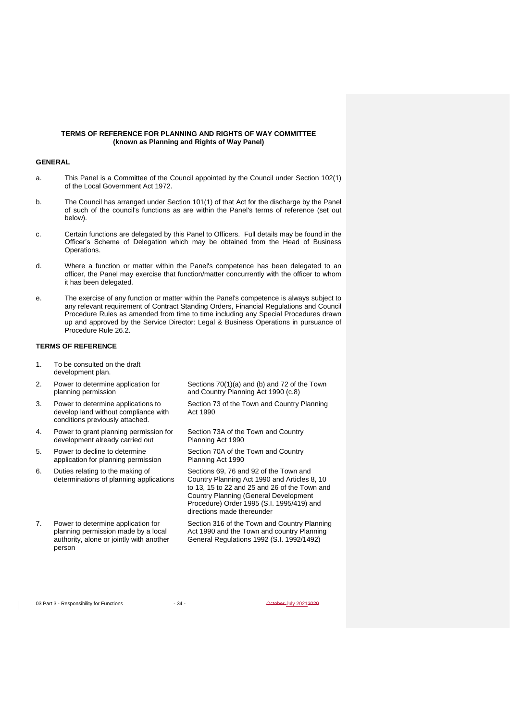#### **TERMS OF REFERENCE FOR PLANNING AND RIGHTS OF WAY COMMITTEE (known as Planning and Rights of Way Panel)**

#### **GENERAL**

- a. This Panel is a Committee of the Council appointed by the Council under Section 102(1) of the Local Government Act 1972.
- b. The Council has arranged under Section 101(1) of that Act for the discharge by the Panel of such of the council's functions as are within the Panel's terms of reference (set out below).
- c. Certain functions are delegated by this Panel to Officers. Full details may be found in the Officer's Scheme of Delegation which may be obtained from the Head of Business Operations.
- d. Where a function or matter within the Panel's competence has been delegated to an officer, the Panel may exercise that function/matter concurrently with the officer to whom it has been delegated.
- e. The exercise of any function or matter within the Panel's competence is always subject to any relevant requirement of Contract Standing Orders, Financial Regulations and Council Procedure Rules as amended from time to time including any Special Procedures drawn up and approved by the Service Director: Legal & Business Operations in pursuance of Procedure Rule 26.2.

#### **TERMS OF REFERENCE**

- 1. To be consulted on the draft development plan.
- 2. Power to determine application for planning permission
- 3. Power to determine applications to develop land without compliance with conditions previously attached.
- 4. Power to grant planning permission for development already carried out
- 5. Power to decline to determine application for planning permission
- 6. Duties relating to the making of determinations of planning applications
- 7. Power to determine application for planning permission made by a local authority, alone or jointly with another person

Sections 70(1)(a) and (b) and 72 of the Town and Country Planning Act 1990 (c.8)

Section 73 of the Town and Country Planning Act 1990

Section 73A of the Town and Country Planning Act 1990

Section 70A of the Town and Country Planning Act 1990

Sections 69, 76 and 92 of the Town and Country Planning Act 1990 and Articles 8, 10 to 13, 15 to 22 and 25 and 26 of the Town and Country Planning (General Development Procedure) Order 1995 (S.I. 1995/419) and directions made thereunder

Section 316 of the Town and Country Planning Act 1990 and the Town and country Planning General Regulations 1992 (S.I. 1992/1492)

03 Part 3 - Responsibility for Functions - 34 - Alta - October July 20212020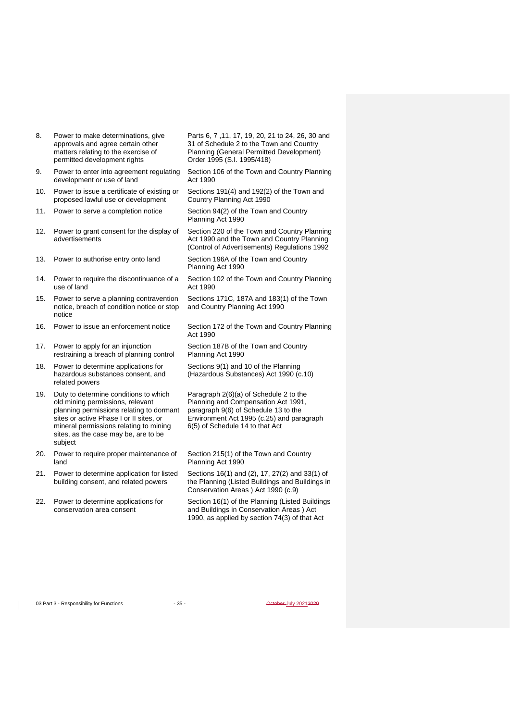- 8. Power to make determinations, give approvals and agree certain other matters relating to the exercise of permitted development rights
- 9. Power to enter into agreement regulating development or use of land
- 10. Power to issue a certificate of existing or proposed lawful use or development
- 11. Power to serve a completion notice Section 94(2) of the Town and Country
- 12. Power to grant consent for the display of advertisements
- 13. Power to authorise entry onto land Section 196A of the Town and Country
- 14. Power to require the discontinuance of a use of land
- 15. Power to serve a planning contravention notice, breach of condition notice or stop notice
- 16. Power to issue an enforcement notice Section 172 of the Town and Country Planning
- 17. Power to apply for an injunction restraining a breach of planning control
- 18. Power to determine applications for hazardous substances consent, and related powers
- 19. Duty to determine conditions to which old mining permissions, relevant planning permissions relating to dormant sites or active Phase I or II sites, or mineral permissions relating to mining sites, as the case may be, are to be subject
- 20. Power to require proper maintenance of land
- 21. Power to determine application for listed building consent, and related powers
- 22. Power to determine applications for conservation area consent

Parts 6, 7 ,11, 17, 19, 20, 21 to 24, 26, 30 and 31 of Schedule 2 to the Town and Country Planning (General Permitted Development) Order 1995 (S.I. 1995/418)

Section 106 of the Town and Country Planning Act 1990

Sections 191(4) and 192(2) of the Town and Country Planning Act 1990

Planning Act 1990

Section 220 of the Town and Country Planning Act 1990 and the Town and Country Planning (Control of Advertisements) Regulations 1992

Planning Act 1990

Section 102 of the Town and Country Planning Act 1990

Sections 171C, 187A and 183(1) of the Town and Country Planning Act 1990

Act 1990

Section 187B of the Town and Country Planning Act 1990

Sections 9(1) and 10 of the Planning (Hazardous Substances) Act 1990 (c.10)

Paragraph 2(6)(a) of Schedule 2 to the Planning and Compensation Act 1991, paragraph 9(6) of Schedule 13 to the Environment Act 1995 (c.25) and paragraph 6(5) of Schedule 14 to that Act

Section 215(1) of the Town and Country Planning Act 1990

Sections 16(1) and (2), 17, 27(2) and 33(1) of the Planning (Listed Buildings and Buildings in Conservation Areas ) Act 1990 (c.9)

Section 16(1) of the Planning (Listed Buildings and Buildings in Conservation Areas ) Act 1990, as applied by section 74(3) of that Act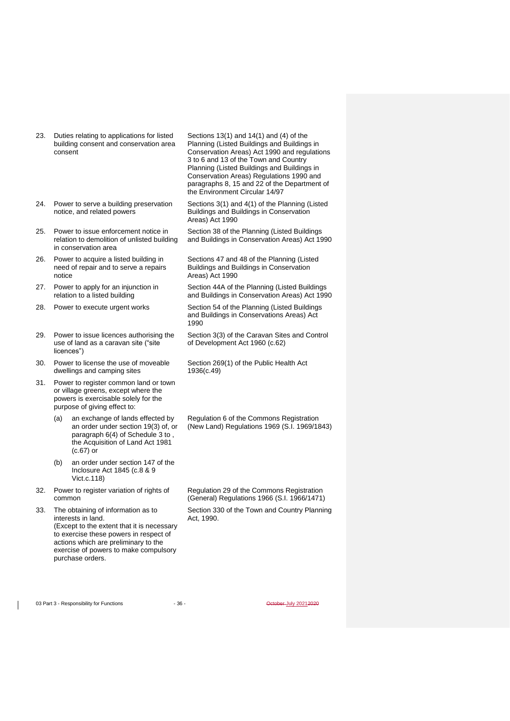- 23. Duties relating to applications for listed building consent and conservation area consent
- 24. Power to serve a building preservation notice, and related powers
- 25. Power to issue enforcement notice in relation to demolition of unlisted building in conservation area
- 26. Power to acquire a listed building in need of repair and to serve a repairs notice
- 27. Power to apply for an injunction in relation to a listed building
- 
- 29. Power to issue licences authorising the use of land as a caravan site ("site licences")
- 30. Power to license the use of moveable dwellings and camping sites
- 31. Power to register common land or town or village greens, except where the powers is exercisable solely for the purpose of giving effect to:
	- (a) an exchange of lands effected by an order under section 19(3) of, or paragraph 6(4) of Schedule 3 to, the Acquisition of Land Act 1981 (c.67) or
	- (b) an order under section 147 of the Inclosure Act 1845 (c.8 & 9 Vict.c.118)
- 32. Power to register variation of rights of common
- 33. The obtaining of information as to interests in land. (Except to the extent that it is necessary to exercise these powers in respect of actions which are preliminary to the exercise of powers to make compulsory purchase orders.

Sections 13(1) and 14(1) and (4) of the Planning (Listed Buildings and Buildings in Conservation Areas) Act 1990 and regulations 3 to 6 and 13 of the Town and Country Planning (Listed Buildings and Buildings in Conservation Areas) Regulations 1990 and paragraphs 8, 15 and 22 of the Department of the Environment Circular 14/97

Sections 3(1) and 4(1) of the Planning (Listed Buildings and Buildings in Conservation Areas) Act 1990

Section 38 of the Planning (Listed Buildings and Buildings in Conservation Areas) Act 1990

Sections 47 and 48 of the Planning (Listed Buildings and Buildings in Conservation Areas) Act 1990

Section 44A of the Planning (Listed Buildings and Buildings in Conservation Areas) Act 1990

28. Power to execute urgent works Section 54 of the Planning (Listed Buildings and Buildings in Conservations Areas) Act 1990

> Section 3(3) of the Caravan Sites and Control of Development Act 1960 (c.62)

Section 269(1) of the Public Health Act 1936(c.49)

Regulation 6 of the Commons Registration (New Land) Regulations 1969 (S.I. 1969/1843)

Regulation 29 of the Commons Registration (General) Regulations 1966 (S.I. 1966/1471)

Section 330 of the Town and Country Planning Act, 1990.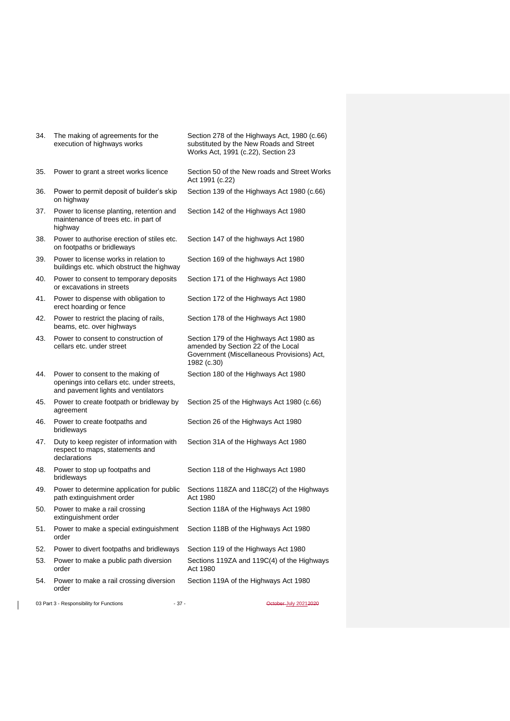| 34. | The making of agreements for the<br>execution of highways works                                                       | Section 278 of the Highways Act, 1980 (c.66)<br>substituted by the New Roads and Street<br>Works Act, 1991 (c.22), Section 23              |
|-----|-----------------------------------------------------------------------------------------------------------------------|--------------------------------------------------------------------------------------------------------------------------------------------|
| 35. | Power to grant a street works licence                                                                                 | Section 50 of the New roads and Street Works<br>Act 1991 (c.22)                                                                            |
| 36. | Power to permit deposit of builder's skip<br>on highway                                                               | Section 139 of the Highways Act 1980 (c.66)                                                                                                |
| 37. | Power to license planting, retention and<br>maintenance of trees etc. in part of<br>highway                           | Section 142 of the Highways Act 1980                                                                                                       |
| 38. | Power to authorise erection of stiles etc.<br>on footpaths or bridleways                                              | Section 147 of the highways Act 1980                                                                                                       |
| 39. | Power to license works in relation to<br>buildings etc. which obstruct the highway                                    | Section 169 of the highways Act 1980                                                                                                       |
| 40. | Power to consent to temporary deposits<br>or excavations in streets                                                   | Section 171 of the Highways Act 1980                                                                                                       |
| 41. | Power to dispense with obligation to<br>erect hoarding or fence                                                       | Section 172 of the Highways Act 1980                                                                                                       |
| 42. | Power to restrict the placing of rails,<br>beams, etc. over highways                                                  | Section 178 of the Highways Act 1980                                                                                                       |
| 43. | Power to consent to construction of<br>cellars etc. under street                                                      | Section 179 of the Highways Act 1980 as<br>amended by Section 22 of the Local<br>Government (Miscellaneous Provisions) Act,<br>1982 (c.30) |
| 44. | Power to consent to the making of<br>openings into cellars etc. under streets,<br>and pavement lights and ventilators | Section 180 of the Highways Act 1980                                                                                                       |
| 45. | Power to create footpath or bridleway by<br>agreement                                                                 | Section 25 of the Highways Act 1980 (c.66)                                                                                                 |
| 46. | Power to create footpaths and<br>bridleways                                                                           | Section 26 of the Highways Act 1980                                                                                                        |
| 47. | Duty to keep register of information with<br>respect to maps, statements and<br>declarations                          | Section 31A of the Highways Act 1980                                                                                                       |
| 48. | Power to stop up footpaths and<br>bridleways                                                                          | Section 118 of the Highways Act 1980                                                                                                       |
| 49. | Power to determine application for public<br>path extinguishment order                                                | Sections 118ZA and 118C(2) of the Highways<br>Act 1980                                                                                     |
| 50. | Power to make a rail crossing<br>extinguishment order                                                                 | Section 118A of the Highways Act 1980                                                                                                      |
| 51. | Power to make a special extinguishment<br>order                                                                       | Section 118B of the Highways Act 1980                                                                                                      |
| 52. | Power to divert footpaths and bridleways                                                                              | Section 119 of the Highways Act 1980                                                                                                       |
| 53. | Power to make a public path diversion<br>order                                                                        | Sections 119ZA and 119C(4) of the Highways<br>Act 1980                                                                                     |
| 54. | Power to make a rail crossing diversion<br>order                                                                      | Section 119A of the Highways Act 1980                                                                                                      |
|     | 03 Part 3 - Responsibility for Functions<br>$-37-$                                                                    | October-July 20212020                                                                                                                      |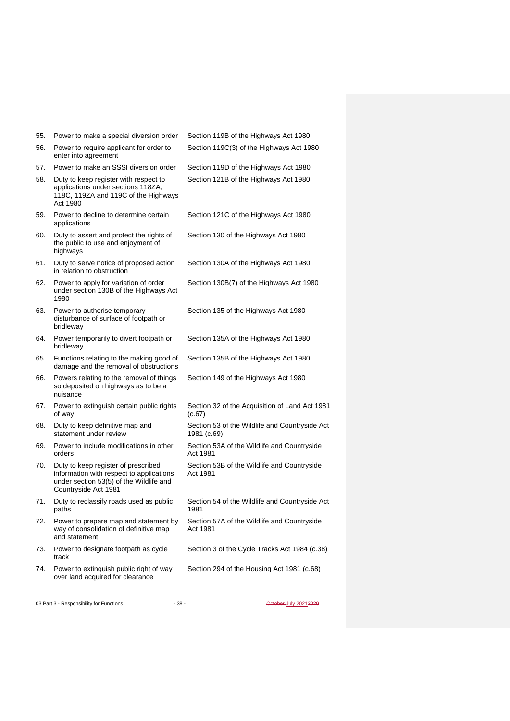| 55. | Power to make a special diversion order                                                                                                            | Section 119B of the Highways Act 1980                         |
|-----|----------------------------------------------------------------------------------------------------------------------------------------------------|---------------------------------------------------------------|
| 56. | Power to require applicant for order to<br>enter into agreement                                                                                    | Section 119C(3) of the Highways Act 1980                      |
| 57. | Power to make an SSSI diversion order                                                                                                              | Section 119D of the Highways Act 1980                         |
| 58. | Duty to keep register with respect to<br>applications under sections 118ZA,<br>118C, 119ZA and 119C of the Highways<br>Act 1980                    | Section 121B of the Highways Act 1980                         |
| 59. | Power to decline to determine certain<br>applications                                                                                              | Section 121C of the Highways Act 1980                         |
| 60. | Duty to assert and protect the rights of<br>the public to use and enjoyment of<br>highways                                                         | Section 130 of the Highways Act 1980                          |
| 61. | Duty to serve notice of proposed action<br>in relation to obstruction                                                                              | Section 130A of the Highways Act 1980                         |
| 62. | Power to apply for variation of order<br>under section 130B of the Highways Act<br>1980                                                            | Section 130B(7) of the Highways Act 1980                      |
| 63. | Power to authorise temporary<br>disturbance of surface of footpath or<br>bridleway                                                                 | Section 135 of the Highways Act 1980                          |
| 64. | Power temporarily to divert footpath or<br>bridleway.                                                                                              | Section 135A of the Highways Act 1980                         |
| 65. | Functions relating to the making good of<br>damage and the removal of obstructions                                                                 | Section 135B of the Highways Act 1980                         |
| 66. | Powers relating to the removal of things<br>so deposited on highways as to be a<br>nuisance                                                        | Section 149 of the Highways Act 1980                          |
| 67. | Power to extinguish certain public rights<br>of way                                                                                                | Section 32 of the Acquisition of Land Act 1981<br>(c.67)      |
| 68. | Duty to keep definitive map and<br>statement under review                                                                                          | Section 53 of the Wildlife and Countryside Act<br>1981 (c.69) |
| 69. | Power to include modifications in other<br>orders                                                                                                  | Section 53A of the Wildlife and Countryside<br>Act 1981       |
| 70. | Duty to keep register of prescribed<br>information with respect to applications<br>under section 53(5) of the Wildlife and<br>Countryside Act 1981 | Section 53B of the Wildlife and Countryside<br>Act 1981       |
| 71. | Duty to reclassify roads used as public<br>paths                                                                                                   | Section 54 of the Wildlife and Countryside Act<br>1981        |
| 72. | Power to prepare map and statement by<br>way of consolidation of definitive map<br>and statement                                                   | Section 57A of the Wildlife and Countryside<br>Act 1981       |
| 73. | Power to designate footpath as cycle<br>track                                                                                                      | Section 3 of the Cycle Tracks Act 1984 (c.38)                 |
| 74. | Power to extinguish public right of way<br>over land acquired for clearance                                                                        | Section 294 of the Housing Act 1981 (c.68)                    |
|     |                                                                                                                                                    |                                                               |

03 Part 3 - Responsibility for Functions - 38 - 38 - October July 20212020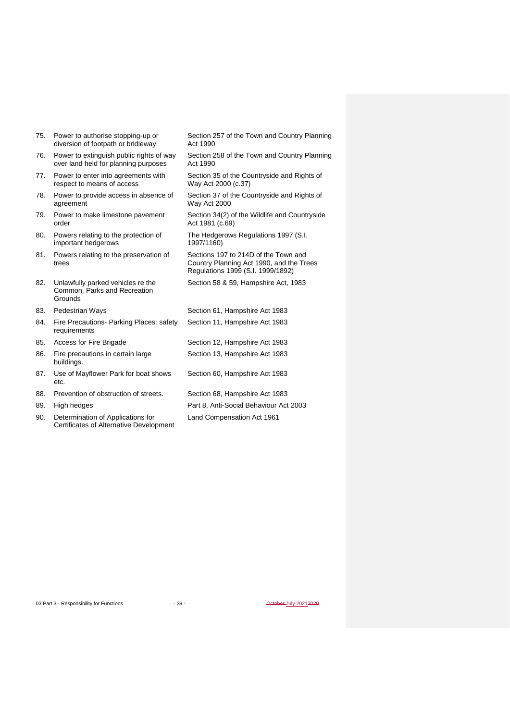| 75. | Power to authorise stopping-up or<br>diversion of footpath or bridleway          | Section 257 of the Town and Country Planning<br>Act 1990                                                              |
|-----|----------------------------------------------------------------------------------|-----------------------------------------------------------------------------------------------------------------------|
| 76. | Power to extinguish public rights of way<br>over land held for planning purposes | Section 258 of the Town and Country Planning<br>Act 1990                                                              |
| 77. | Power to enter into agreements with<br>respect to means of access                | Section 35 of the Countryside and Rights of<br>Way Act 2000 (c.37)                                                    |
| 78. | Power to provide access in absence of<br>agreement                               | Section 37 of the Countryside and Rights of<br>Way Act 2000                                                           |
| 79. | Power to make limestone pavement<br>order                                        | Section 34(2) of the Wildlife and Countryside<br>Act 1981 (c.69)                                                      |
| 80. | Powers relating to the protection of<br>important hedgerows                      | The Hedgerows Regulations 1997 (S.I.<br>1997/1160)                                                                    |
| 81. | Powers relating to the preservation of<br>trees                                  | Sections 197 to 214D of the Town and<br>Country Planning Act 1990, and the Trees<br>Regulations 1999 (S.I. 1999/1892) |
| 82. | Unlawfully parked vehicles re the<br>Common, Parks and Recreation<br>Grounds     | Section 58 & 59, Hampshire Act, 1983                                                                                  |
| 83. | Pedestrian Ways                                                                  | Section 61, Hampshire Act 1983                                                                                        |
| 84. | Fire Precautions Parking Places: safety<br>requirements                          | Section 11, Hampshire Act 1983                                                                                        |
| 85. | Access for Fire Brigade                                                          | Section 12, Hampshire Act 1983                                                                                        |
| 86. | Fire precautions in certain large<br>buildings.                                  | Section 13, Hampshire Act 1983                                                                                        |
| 87. | Use of Mayflower Park for boat shows<br>etc.                                     | Section 60, Hampshire Act 1983                                                                                        |
| 88. | Prevention of obstruction of streets.                                            | Section 68, Hampshire Act 1983                                                                                        |
| 89. | High hedges                                                                      | Part 8, Anti-Social Behaviour Act 2003                                                                                |
| 90. | Determination of Applications for<br>Certificates of Alternative Development     | Land Compensation Act 1961                                                                                            |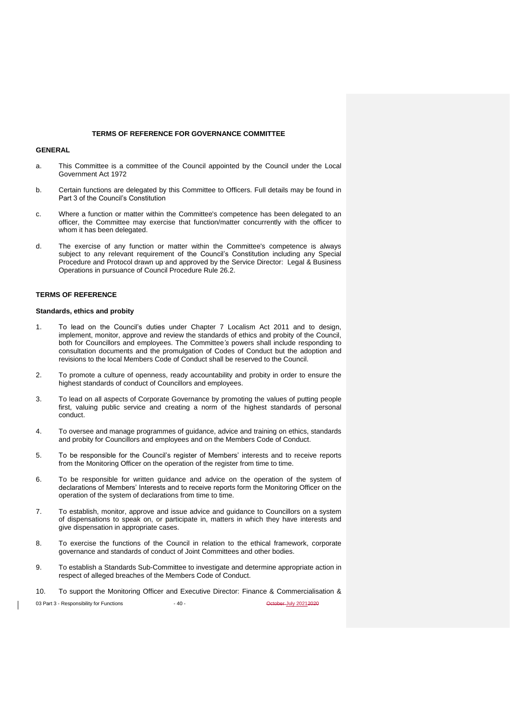#### **TERMS OF REFERENCE FOR GOVERNANCE COMMITTEE**

#### **GENERAL**

- a. This Committee is a committee of the Council appointed by the Council under the Local Government Act 1972
- b. Certain functions are delegated by this Committee to Officers. Full details may be found in Part 3 of the Council's Constitution
- c. Where a function or matter within the Committee's competence has been delegated to an officer, the Committee may exercise that function/matter concurrently with the officer to whom it has been delegated.
- d. The exercise of any function or matter within the Committee's competence is always subject to any relevant requirement of the Council's Constitution including any Special Procedure and Protocol drawn up and approved by the Service Director: Legal & Business Operations in pursuance of Council Procedure Rule 26.2.

## **TERMS OF REFERENCE**

#### **Standards, ethics and probity**

- 1. To lead on the Council's duties under Chapter 7 Localism Act 2011 and to design, implement, monitor, approve and review the standards of ethics and probity of the Council, both for Councillors and employees. The Committee*'s* powers shall include responding to consultation documents and the promulgation of Codes of Conduct but the adoption and revisions to the local Members Code of Conduct shall be reserved to the Council.
- 2. To promote a culture of openness, ready accountability and probity in order to ensure the highest standards of conduct of Councillors and employees.
- 3. To lead on all aspects of Corporate Governance by promoting the values of putting people first, valuing public service and creating a norm of the highest standards of personal conduct.
- 4. To oversee and manage programmes of guidance, advice and training on ethics, standards and probity for Councillors and employees and on the Members Code of Conduct.
- 5. To be responsible for the Council's register of Members' interests and to receive reports from the Monitoring Officer on the operation of the register from time to time.
- 6. To be responsible for written guidance and advice on the operation of the system of declarations of Members' Interests and to receive reports form the Monitoring Officer on the operation of the system of declarations from time to time.
- 7. To establish, monitor, approve and issue advice and guidance to Councillors on a system of dispensations to speak on, or participate in, matters in which they have interests and give dispensation in appropriate cases.
- 8. To exercise the functions of the Council in relation to the ethical framework, corporate governance and standards of conduct of Joint Committees and other bodies.
- 9. To establish a Standards Sub-Committee to investigate and determine appropriate action in respect of alleged breaches of the Members Code of Conduct.
- 10. To support the Monitoring Officer and Executive Director: Finance & Commercialisation &

03 Part 3 - Responsibility for Functions - 40 - October July 20212020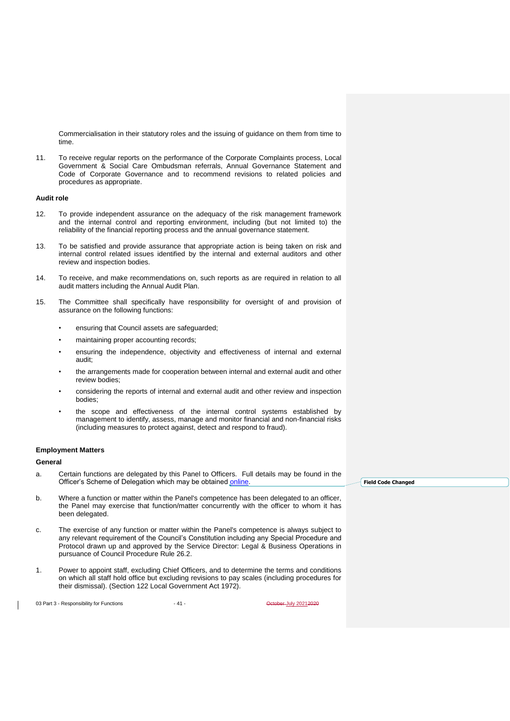Commercialisation in their statutory roles and the issuing of guidance on them from time to time.

11. To receive regular reports on the performance of the Corporate Complaints process, Local Government & Social Care Ombudsman referrals, Annual Governance Statement and Code of Corporate Governance and to recommend revisions to related policies and procedures as appropriate.

#### **Audit role**

- 12. To provide independent assurance on the adequacy of the risk management framework and the internal control and reporting environment, including (but not limited to) the reliability of the financial reporting process and the annual governance statement.
- 13. To be satisfied and provide assurance that appropriate action is being taken on risk and internal control related issues identified by the internal and external auditors and other review and inspection bodies.
- 14. To receive, and make recommendations on, such reports as are required in relation to all audit matters including the Annual Audit Plan.
- 15. The Committee shall specifically have responsibility for oversight of and provision of assurance on the following functions:
	- ensuring that Council assets are safeguarded;
	- maintaining proper accounting records;
	- ensuring the independence, objectivity and effectiveness of internal and external audit;
	- the arrangements made for cooperation between internal and external audit and other review bodies;
	- considering the reports of internal and external audit and other review and inspection bodies;
	- the scope and effectiveness of the internal control systems established by management to identify, assess, manage and monitor financial and non-financial risks (including measures to protect against, detect and respond to fraud).

#### **Employment Matters**

#### **General**

- a. Certain functions are delegated by this Panel to Officers. Full details may be found in the Officer's Scheme of Delegation which may be obtained [online.](http://www.southampton.gov.uk/policies/23%20Part%2010%20-%20Officer%20Scheme%20of%20Delegation_tcm63-364103.pdf)
- b. Where a function or matter within the Panel's competence has been delegated to an officer, the Panel may exercise that function/matter concurrently with the officer to whom it has been delegated.
- c. The exercise of any function or matter within the Panel's competence is always subject to any relevant requirement of the Council's Constitution including any Special Procedure and Protocol drawn up and approved by the Service Director: Legal & Business Operations in pursuance of Council Procedure Rule 26.2.
- 1. Power to appoint staff, excluding Chief Officers, and to determine the terms and conditions on which all staff hold office but excluding revisions to pay scales (including procedures for their dismissal). (Section 122 Local Government Act 1972).

03 Part 3 - Responsibility for Functions - 41 - Alta - Control 20212020

**Field Code Changed**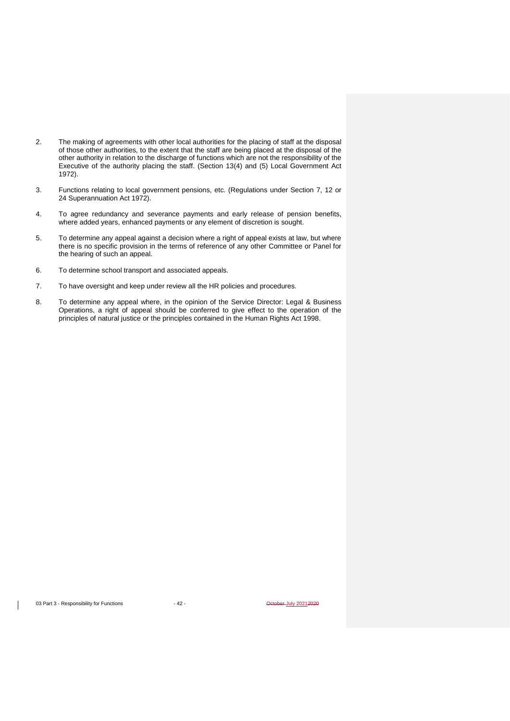- 2. The making of agreements with other local authorities for the placing of staff at the disposal of those other authorities, to the extent that the staff are being placed at the disposal of the other authority in relation to the discharge of functions which are not the responsibility of the Executive of the authority placing the staff. (Section 13(4) and (5) Local Government Act 1972).
- 3. Functions relating to local government pensions, etc. (Regulations under Section 7, 12 or 24 Superannuation Act 1972).
- 4. To agree redundancy and severance payments and early release of pension benefits, where added years, enhanced payments or any element of discretion is sought.
- 5. To determine any appeal against a decision where a right of appeal exists at law, but where there is no specific provision in the terms of reference of any other Committee or Panel for the hearing of such an appeal.
- 6. To determine school transport and associated appeals.
- 7. To have oversight and keep under review all the HR policies and procedures.
- 8. To determine any appeal where, in the opinion of the Service Director: Legal & Business Operations, a right of appeal should be conferred to give effect to the operation of the principles of natural justice or the principles contained in the Human Rights Act 1998.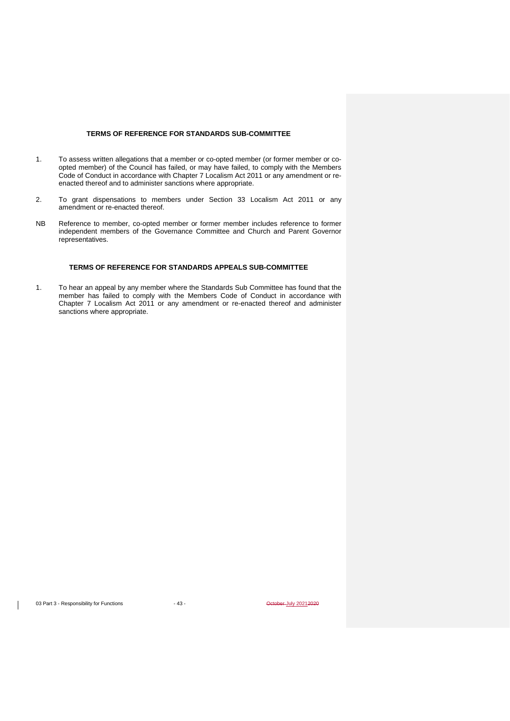## **TERMS OF REFERENCE FOR STANDARDS SUB-COMMITTEE**

- 1. To assess written allegations that a member or co-opted member (or former member or coopted member) of the Council has failed, or may have failed, to comply with the Members Code of Conduct in accordance with Chapter 7 Localism Act 2011 or any amendment or reenacted thereof and to administer sanctions where appropriate.
- 2. To grant dispensations to members under Section 33 Localism Act 2011 or any amendment or re-enacted thereof.
- NB Reference to member, co-opted member or former member includes reference to former independent members of the Governance Committee and Church and Parent Governor representatives.

## **TERMS OF REFERENCE FOR STANDARDS APPEALS SUB-COMMITTEE**

1. To hear an appeal by any member where the Standards Sub Committee has found that the member has failed to comply with the Members Code of Conduct in accordance with Chapter 7 Localism Act 2011 or any amendment or re-enacted thereof and administer sanctions where appropriate.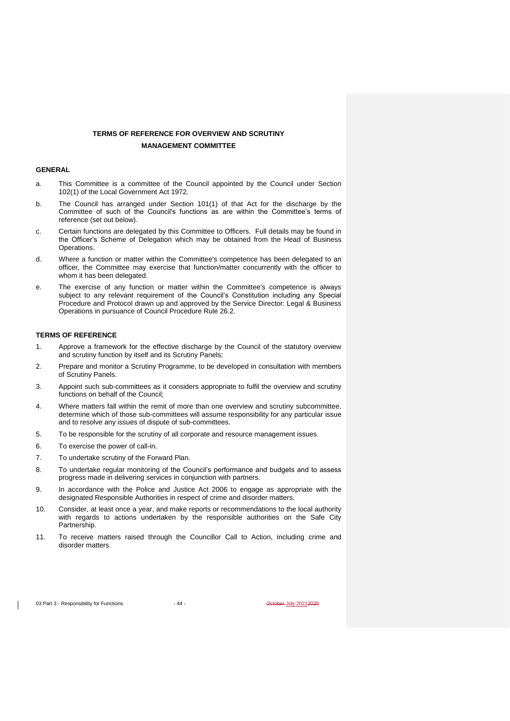## **TERMS OF REFERENCE FOR OVERVIEW AND SCRUTINY MANAGEMENT COMMITTEE**

## **GENERAL**

- a. This Committee is a committee of the Council appointed by the Council under Section 102(1) of the Local Government Act 1972.
- b. The Council has arranged under Section 101(1) of that Act for the discharge by the Committee of such of the Council's functions as are within the Committee's terms of reference (set out below).
- c. Certain functions are delegated by this Committee to Officers. Full details may be found in the Officer's Scheme of Delegation which may be obtained from the Head of Business Operations.
- d. Where a function or matter within the Committee's competence has been delegated to an officer, the Committee may exercise that function/matter concurrently with the officer to whom it has been delegated.
- e. The exercise of any function or matter within the Committee's competence is always subject to any relevant requirement of the Council's Constitution including any Special Procedure and Protocol drawn up and approved by the Service Director: Legal & Business Operations in pursuance of Council Procedure Rule 26.2.

### **TERMS OF REFERENCE**

- 1. Approve a framework for the effective discharge by the Council of the statutory overview and scrutiny function by itself and its Scrutiny Panels;
- 2. Prepare and monitor a Scrutiny Programme, to be developed in consultation with members of Scrutiny Panels.
- 3. Appoint such sub-committees as it considers appropriate to fulfil the overview and scrutiny functions on behalf of the Council;
- 4. Where matters fall within the remit of more than one overview and scrutiny subcommittee, determine which of those sub-committees will assume responsibility for any particular issue and to resolve any issues of dispute of sub-committees.
- 5. To be responsible for the scrutiny of all corporate and resource management issues.
- 6. To exercise the power of call-in.
- 7. To undertake scrutiny of the Forward Plan.
- 8. To undertake regular monitoring of the Council's performance and budgets and to assess progress made in delivering services in conjunction with partners.
- 9. In accordance with the Police and Justice Act 2006 to engage as appropriate with the designated Responsible Authorities in respect of crime and disorder matters.
- 10. Consider, at least once a year, and make reports or recommendations to the local authority with regards to actions undertaken by the responsible authorities on the Safe City Partnership.
- 11. To receive matters raised through the Councillor Call to Action, including crime and disorder matters.

03 Part 3 - Responsibility for Functions - 44 - Alta - October July 20212020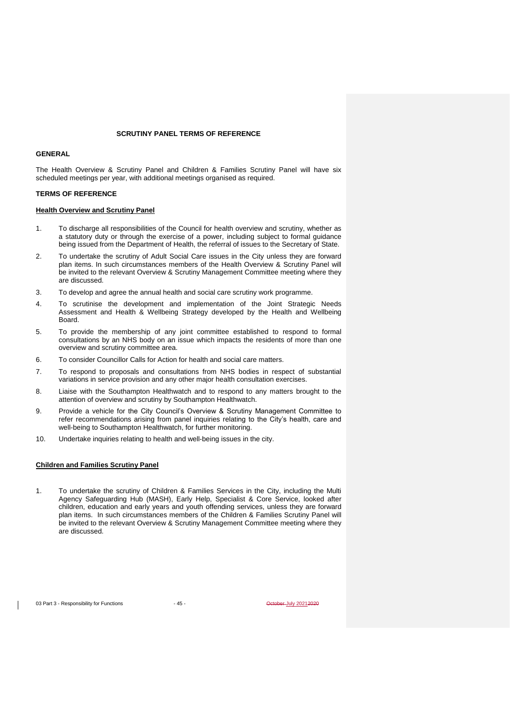#### **SCRUTINY PANEL TERMS OF REFERENCE**

## **GENERAL**

The Health Overview & Scrutiny Panel and Children & Families Scrutiny Panel will have six scheduled meetings per year, with additional meetings organised as required.

#### **TERMS OF REFERENCE**

#### **Health Overview and Scrutiny Panel**

- 1. To discharge all responsibilities of the Council for health overview and scrutiny, whether as a statutory duty or through the exercise of a power, including subject to formal guidance being issued from the Department of Health, the referral of issues to the Secretary of State.
- 2. To undertake the scrutiny of Adult Social Care issues in the City unless they are forward plan items. In such circumstances members of the Health Overview & Scrutiny Panel will be invited to the relevant Overview & Scrutiny Management Committee meeting where they are discussed.
- 3. To develop and agree the annual health and social care scrutiny work programme.
- 4. To scrutinise the development and implementation of the Joint Strategic Needs Assessment and Health & Wellbeing Strategy developed by the Health and Wellbeing **Board**
- 5. To provide the membership of any joint committee established to respond to formal consultations by an NHS body on an issue which impacts the residents of more than one overview and scrutiny committee area.
- 6. To consider Councillor Calls for Action for health and social care matters.
- 7. To respond to proposals and consultations from NHS bodies in respect of substantial variations in service provision and any other major health consultation exercises.
- 8. Liaise with the Southampton Healthwatch and to respond to any matters brought to the attention of overview and scrutiny by Southampton Healthwatch.
- 9. Provide a vehicle for the City Council's Overview & Scrutiny Management Committee to refer recommendations arising from panel inquiries relating to the City's health, care and well-being to Southampton Healthwatch, for further monitoring.
- 10. Undertake inquiries relating to health and well-being issues in the city.

### **Children and Families Scrutiny Panel**

1. To undertake the scrutiny of Children & Families Services in the City, including the Multi Agency Safeguarding Hub (MASH), Early Help, Specialist & Core Service, looked after children, education and early years and youth offending services, unless they are forward plan items. In such circumstances members of the Children & Families Scrutiny Panel will be invited to the relevant Overview & Scrutiny Management Committee meeting where they are discussed.

03 Part 3 - Responsibility for Functions - 45 - Assembly 20212020 - October July 20212020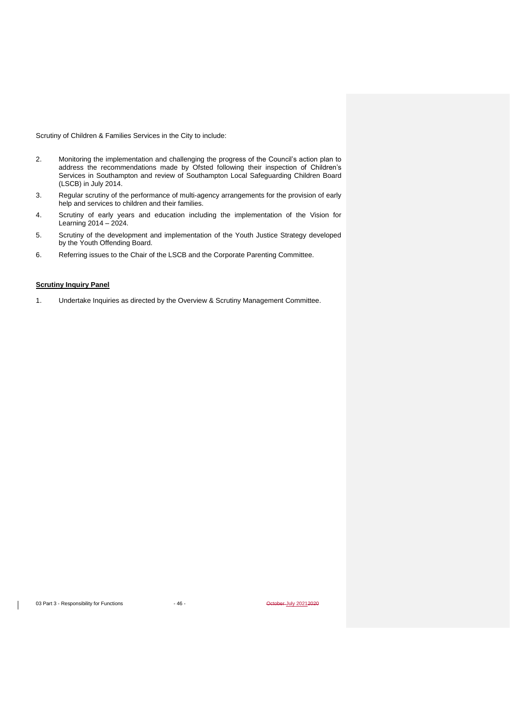Scrutiny of Children & Families Services in the City to include:

- 2. Monitoring the implementation and challenging the progress of the Council's action plan to address the recommendations made by Ofsted following their inspection of Children's Services in Southampton and review of Southampton Local Safeguarding Children Board (LSCB) in July 2014.
- 3. Regular scrutiny of the performance of multi-agency arrangements for the provision of early help and services to children and their families.
- 4. Scrutiny of early years and education including the implementation of the Vision for Learning 2014 – 2024.
- 5. Scrutiny of the development and implementation of the Youth Justice Strategy developed by the Youth Offending Board.
- 6. Referring issues to the Chair of the LSCB and the Corporate Parenting Committee.

## **Scrutiny Inquiry Panel**

1. Undertake Inquiries as directed by the Overview & Scrutiny Management Committee.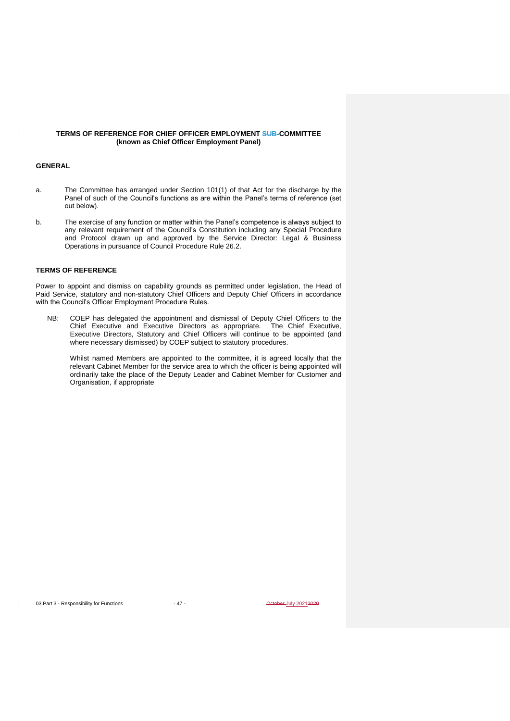## **TERMS OF REFERENCE FOR CHIEF OFFICER EMPLOYMENT SUB-COMMITTEE (known as Chief Officer Employment Panel)**

### **GENERAL**

- a. The Committee has arranged under Section 101(1) of that Act for the discharge by the Panel of such of the Council's functions as are within the Panel's terms of reference (set out below).
- b. The exercise of any function or matter within the Panel's competence is always subject to any relevant requirement of the Council's Constitution including any Special Procedure and Protocol drawn up and approved by the Service Director: Legal & Business Operations in pursuance of Council Procedure Rule 26.2.

### **TERMS OF REFERENCE**

Power to appoint and dismiss on capability grounds as permitted under legislation, the Head of Paid Service, statutory and non-statutory Chief Officers and Deputy Chief Officers in accordance with the Council's Officer Employment Procedure Rules.

NB: COEP has delegated the appointment and dismissal of Deputy Chief Officers to the Chief Executive and Executive Directors as appropriate. The Chief Executive, Executive Directors, Statutory and Chief Officers will continue to be appointed (and where necessary dismissed) by COEP subject to statutory procedures.

Whilst named Members are appointed to the committee, it is agreed locally that the relevant Cabinet Member for the service area to which the officer is being appointed will ordinarily take the place of the Deputy Leader and Cabinet Member for Customer and Organisation, if appropriate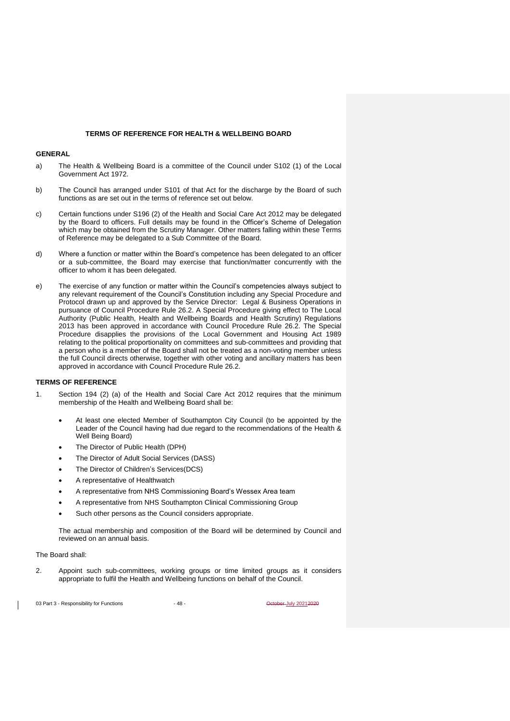#### **TERMS OF REFERENCE FOR HEALTH & WELLBEING BOARD**

#### **GENERAL**

- a) The Health & Wellbeing Board is a committee of the Council under S102 (1) of the Local Government Act 1972.
- b) The Council has arranged under S101 of that Act for the discharge by the Board of such functions as are set out in the terms of reference set out below.
- c) Certain functions under S196 (2) of the Health and Social Care Act 2012 may be delegated by the Board to officers. Full details may be found in the Officer's Scheme of Delegation which may be obtained from the Scrutiny Manager. Other matters falling within these Terms of Reference may be delegated to a Sub Committee of the Board.
- d) Where a function or matter within the Board's competence has been delegated to an officer or a sub-committee, the Board may exercise that function/matter concurrently with the officer to whom it has been delegated.
- e) The exercise of any function or matter within the Council's competencies always subject to any relevant requirement of the Council's Constitution including any Special Procedure and Protocol drawn up and approved by the Service Director: Legal & Business Operations in pursuance of Council Procedure Rule 26.2. A Special Procedure giving effect to The Local Authority (Public Health, Health and Wellbeing Boards and Health Scrutiny) Regulations 2013 has been approved in accordance with Council Procedure Rule 26.2. The Special Procedure disapplies the provisions of the Local Government and Housing Act 1989 relating to the political proportionality on committees and sub-committees and providing that a person who is a member of the Board shall not be treated as a non-voting member unless the full Council directs otherwise, together with other voting and ancillary matters has been approved in accordance with Council Procedure Rule 26.2.

#### **TERMS OF REFERENCE**

- 1. Section 194 (2) (a) of the Health and Social Care Act 2012 requires that the minimum membership of the Health and Wellbeing Board shall be:
	- At least one elected Member of Southampton City Council (to be appointed by the Leader of the Council having had due regard to the recommendations of the Health & Well Being Board)
	- The Director of Public Health (DPH)
	- The Director of Adult Social Services (DASS)
	- The Director of Children's Services(DCS)
	- A representative of Healthwatch
	- A representative from NHS Commissioning Board's Wessex Area team
	- A representative from NHS Southampton Clinical Commissioning Group
	- Such other persons as the Council considers appropriate.

The actual membership and composition of the Board will be determined by Council and reviewed on an annual basis.

The Board shall:

2. Appoint such sub-committees, working groups or time limited groups as it considers appropriate to fulfil the Health and Wellbeing functions on behalf of the Council.

03 Part 3 - Responsibility for Functions - 48 - Alta - October July 20212020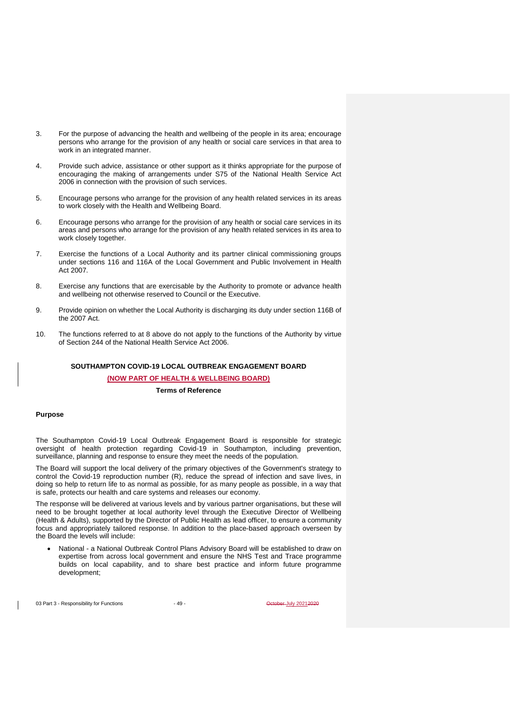- 3. For the purpose of advancing the health and wellbeing of the people in its area; encourage persons who arrange for the provision of any health or social care services in that area to work in an integrated manner.
- 4. Provide such advice, assistance or other support as it thinks appropriate for the purpose of encouraging the making of arrangements under S75 of the National Health Service Act 2006 in connection with the provision of such services.
- 5. Encourage persons who arrange for the provision of any health related services in its areas to work closely with the Health and Wellbeing Board.
- 6. Encourage persons who arrange for the provision of any health or social care services in its areas and persons who arrange for the provision of any health related services in its area to work closely together.
- 7. Exercise the functions of a Local Authority and its partner clinical commissioning groups under sections 116 and 116A of the Local Government and Public Involvement in Health Act 2007.
- 8. Exercise any functions that are exercisable by the Authority to promote or advance health and wellbeing not otherwise reserved to Council or the Executive.
- 9. Provide opinion on whether the Local Authority is discharging its duty under section 116B of the 2007 Act.
- 10. The functions referred to at 8 above do not apply to the functions of the Authority by virtue of Section 244 of the National Health Service Act 2006.

## **SOUTHAMPTON COVID-19 LOCAL OUTBREAK ENGAGEMENT BOARD (NOW PART OF HEALTH & WELLBEING BOARD)**

### **Terms of Reference**

#### **Purpose**

The Southampton Covid-19 Local Outbreak Engagement Board is responsible for strategic oversight of health protection regarding Covid-19 in Southampton, including prevention, surveillance, planning and response to ensure they meet the needs of the population.

The Board will support the local delivery of the primary objectives of the Government's strategy to control the Covid-19 reproduction number (R), reduce the spread of infection and save lives, in doing so help to return life to as normal as possible, for as many people as possible, in a way that is safe, protects our health and care systems and releases our economy.

The response will be delivered at various levels and by various partner organisations, but these will need to be brought together at local authority level through the Executive Director of Wellbeing (Health & Adults), supported by the Director of Public Health as lead officer, to ensure a community focus and appropriately tailored response. In addition to the place-based approach overseen by the Board the levels will include:

• National - a National Outbreak Control Plans Advisory Board will be established to draw on expertise from across local government and ensure the NHS Test and Trace programme builds on local capability, and to share best practice and inform future programme development;

03 Part 3 - Responsibility for Functions - 49 - All the Section of the Section of All 20212020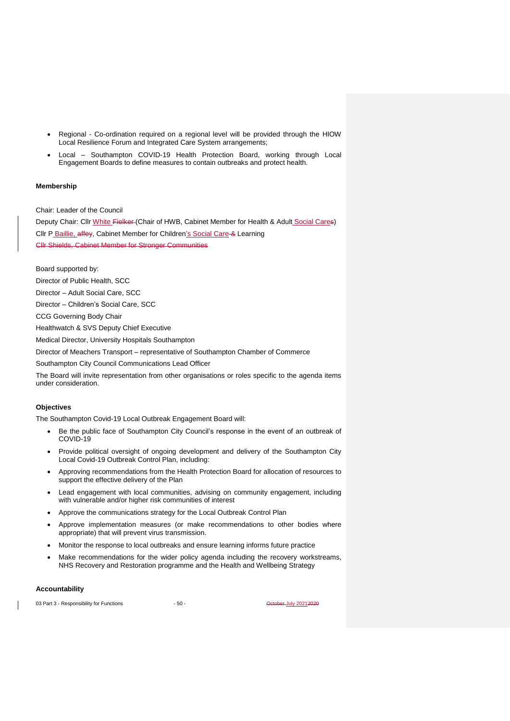- Regional Co-ordination required on a regional level will be provided through the HIOW Local Resilience Forum and Integrated Care System arrangements;
- Local Southampton COVID-19 Health Protection Board, working through Local Engagement Boards to define measures to contain outbreaks and protect health.

## **Membership**

Chair: Leader of the Council

Deputy Chair: Cllr White Fielker (Chair of HWB, Cabinet Member for Health & Adult Social Cares) Cllr P\_Baillie, affey, Cabinet Member for Children's Social Care & Learning Cllr Shields, Cabinet Member for Stronger Communities

Board supported by: Director of Public Health, SCC Director – Adult Social Care, SCC Director – Children's Social Care, SCC CCG Governing Body Chair Healthwatch & SVS Deputy Chief Executive Medical Director, University Hospitals Southampton Director of Meachers Transport – representative of Southampton Chamber of Commerce Southampton City Council Communications Lead Officer The Board will invite representation from other organisations or roles specific to the agenda items under consideration.

## **Objectives**

The Southampton Covid-19 Local Outbreak Engagement Board will:

- Be the public face of Southampton City Council's response in the event of an outbreak of COVID-19
- Provide political oversight of ongoing development and delivery of the Southampton City Local Covid-19 Outbreak Control Plan, including:
- Approving recommendations from the Health Protection Board for allocation of resources to support the effective delivery of the Plan
- Lead engagement with local communities, advising on community engagement, including with vulnerable and/or higher risk communities of interest
- Approve the communications strategy for the Local Outbreak Control Plan
- Approve implementation measures (or make recommendations to other bodies where appropriate) that will prevent virus transmission.
- Monitor the response to local outbreaks and ensure learning informs future practice
- Make recommendations for the wider policy agenda including the recovery workstreams, NHS Recovery and Restoration programme and the Health and Wellbeing Strategy

#### **Accountability**

03 Part 3 - Responsibility for Functions - 50 - Capacity 20212020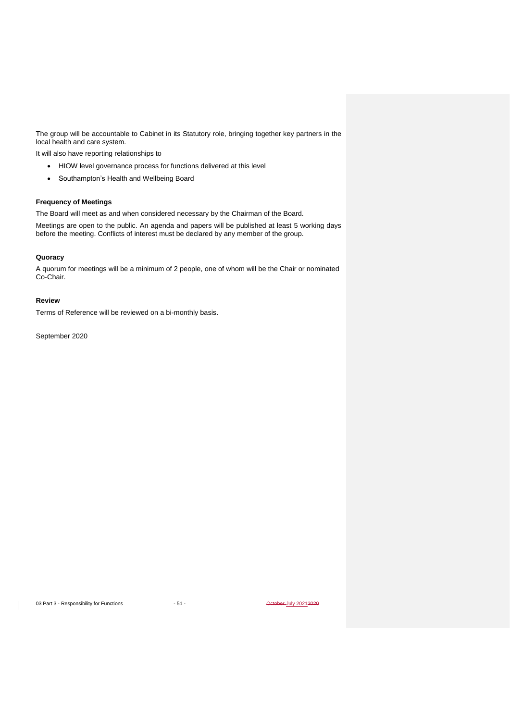The group will be accountable to Cabinet in its Statutory role, bringing together key partners in the local health and care system.

It will also have reporting relationships to

- HIOW level governance process for functions delivered at this level
- Southampton's Health and Wellbeing Board

## **Frequency of Meetings**

The Board will meet as and when considered necessary by the Chairman of the Board.

Meetings are open to the public. An agenda and papers will be published at least 5 working days before the meeting. Conflicts of interest must be declared by any member of the group.

## **Quoracy**

A quorum for meetings will be a minimum of 2 people, one of whom will be the Chair or nominated Co-Chair.

### **Review**

Terms of Reference will be reviewed on a bi-monthly basis.

September 2020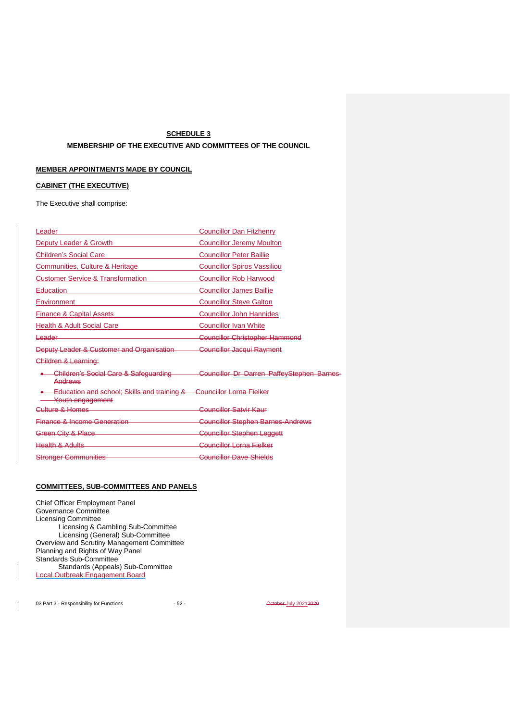## **SCHEDULE 3**

## **MEMBERSHIP OF THE EXECUTIVE AND COMMITTEES OF THE COUNCIL**

# **MEMBER APPOINTMENTS MADE BY COUNCIL**

## **CABINET (THE EXECUTIVE)**

The Executive shall comprise:

| Leader                                                          | <b>Councillor Dan Fitzhenry</b>            |
|-----------------------------------------------------------------|--------------------------------------------|
| Deputy Leader & Growth                                          | <b>Councillor Jeremy Moulton</b>           |
| <b>Children's Social Care</b>                                   | <b>Councillor Peter Baillie</b>            |
| Communities, Culture & Heritage                                 | <b>Councillor Spiros Vassiliou</b>         |
| <b>Customer Service &amp; Transformation</b>                    | <b>Councillor Rob Harwood</b>              |
| <b>Education</b>                                                | <b>Councillor James Baillie</b>            |
| Environment                                                     | <b>Councillor Steve Galton</b>             |
| <b>Finance &amp; Capital Assets</b>                             | <b>Councillor John Hannides</b>            |
| <b>Health &amp; Adult Social Care</b>                           | <b>Councillor Ivan White</b>               |
| <del>Leader</del>                                               | <b>Councillor Christopher Hammond</b>      |
| Deputy Leader & Customer and Organisation                       | Councillor Jacqui Rayment                  |
| Children & Learning:                                            |                                            |
| <b>Children's Social Care &amp; Safeguarding</b><br>Andrews     | Councillor Dr Darren PaffeyStephen Barnes- |
| Education and school; Skills and training &<br>Youth engagement | <b>Councillor Lorna Fielker</b>            |
| <del>Culture &amp; Homes</del>                                  | Councillor Satvir Kaur                     |
| <b>Finance &amp; Income Generation</b>                          | <b>Councillor Stephen Barnes-Andrews</b>   |
| Green City & Place                                              | Councillor Stephen Leggett                 |
| <b>Health &amp; Adults</b>                                      | Councillor Lorna Fielker                   |
| <b>Stronger Communities</b>                                     | <b>Councillor Dave Shields</b>             |

## **COMMITTEES, SUB-COMMITTEES AND PANELS**

Chief Officer Employment Panel Governance Committee Licensing Committee Licensing & Gambling Sub-Committee Licensing (General) Sub-Committee Overview and Scrutiny Management Committee Planning and Rights of Way Panel Standards Sub-Committee Standards (Appeals) Sub-Committee Local Outbreak Engagement Board

03 Part 3 - Responsibility for Functions - 52 - Contract of December 1019 20212020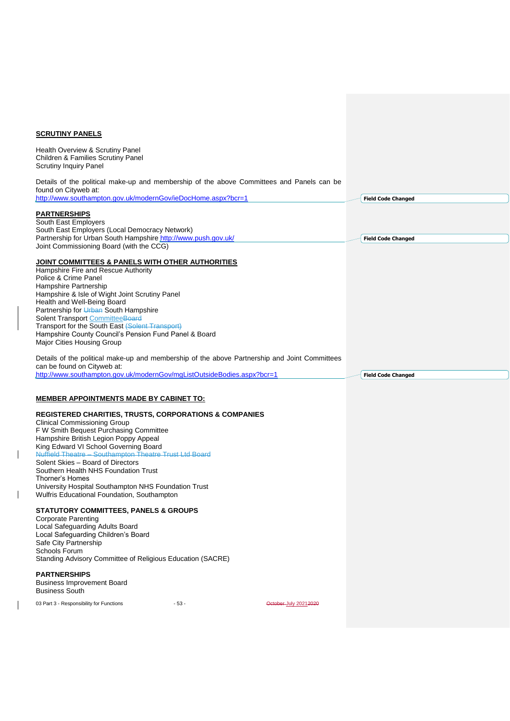# **SCRUTINY PANELS**

 $\begin{array}{c} \rule{0pt}{2ex} \rule{0pt}{2ex} \rule{0pt}{2ex} \rule{0pt}{2ex} \rule{0pt}{2ex} \rule{0pt}{2ex} \rule{0pt}{2ex} \rule{0pt}{2ex} \rule{0pt}{2ex} \rule{0pt}{2ex} \rule{0pt}{2ex} \rule{0pt}{2ex} \rule{0pt}{2ex} \rule{0pt}{2ex} \rule{0pt}{2ex} \rule{0pt}{2ex} \rule{0pt}{2ex} \rule{0pt}{2ex} \rule{0pt}{2ex} \rule{0pt}{2ex} \rule{0pt}{2ex} \rule{0pt}{2ex} \rule{0pt}{2ex} \rule{0pt}{$ 

 $\begin{array}{c} \rule{0pt}{2ex} \rule{0pt}{2ex} \rule{0pt}{2ex} \rule{0pt}{2ex} \rule{0pt}{2ex} \rule{0pt}{2ex} \rule{0pt}{2ex} \rule{0pt}{2ex} \rule{0pt}{2ex} \rule{0pt}{2ex} \rule{0pt}{2ex} \rule{0pt}{2ex} \rule{0pt}{2ex} \rule{0pt}{2ex} \rule{0pt}{2ex} \rule{0pt}{2ex} \rule{0pt}{2ex} \rule{0pt}{2ex} \rule{0pt}{2ex} \rule{0pt}{2ex} \rule{0pt}{2ex} \rule{0pt}{2ex} \rule{0pt}{2ex} \rule{0pt}{$ 

| <b>Children &amp; Families Scrutiny Panel</b><br><b>Scrutiny Inquiry Panel</b>                                                                                                    |        |                       |                           |  |
|-----------------------------------------------------------------------------------------------------------------------------------------------------------------------------------|--------|-----------------------|---------------------------|--|
| Details of the political make-up and membership of the above Committees and Panels can be<br>found on Cityweb at:<br>http://www.southampton.gov.uk/modernGov/ieDocHome.aspx?bcr=1 |        |                       | <b>Field Code Changed</b> |  |
|                                                                                                                                                                                   |        |                       |                           |  |
| <b>PARTNERSHIPS</b><br>South East Employers                                                                                                                                       |        |                       |                           |  |
| South East Employers (Local Democracy Network)                                                                                                                                    |        |                       |                           |  |
| Partnership for Urban South Hampshire http://www.push.gov.uk/                                                                                                                     |        |                       | <b>Field Code Changed</b> |  |
| Joint Commissioning Board (with the CCG)                                                                                                                                          |        |                       |                           |  |
| <b>JOINT COMMITTEES &amp; PANELS WITH OTHER AUTHORITIES</b>                                                                                                                       |        |                       |                           |  |
| Hampshire Fire and Rescue Authority                                                                                                                                               |        |                       |                           |  |
| Police & Crime Panel                                                                                                                                                              |        |                       |                           |  |
| Hampshire Partnership                                                                                                                                                             |        |                       |                           |  |
| Hampshire & Isle of Wight Joint Scrutiny Panel<br>Health and Well-Being Board                                                                                                     |        |                       |                           |  |
| Partnership for Urban South Hampshire                                                                                                                                             |        |                       |                           |  |
| Solent Transport CommitteeBoard                                                                                                                                                   |        |                       |                           |  |
| Transport for the South East (Solent Transport)                                                                                                                                   |        |                       |                           |  |
| Hampshire County Council's Pension Fund Panel & Board                                                                                                                             |        |                       |                           |  |
| Major Cities Housing Group                                                                                                                                                        |        |                       |                           |  |
| Details of the political make-up and membership of the above Partnership and Joint Committees<br>can be found on Cityweb at:                                                      |        |                       |                           |  |
| http://www.southampton.gov.uk/modernGov/mgListOutsideBodies.aspx?bcr=1                                                                                                            |        |                       | <b>Field Code Changed</b> |  |
|                                                                                                                                                                                   |        |                       |                           |  |
| <b>MEMBER APPOINTMENTS MADE BY CABINET TO:</b>                                                                                                                                    |        |                       |                           |  |
| <b>REGISTERED CHARITIES, TRUSTS, CORPORATIONS &amp; COMPANIES</b>                                                                                                                 |        |                       |                           |  |
| <b>Clinical Commissioning Group</b>                                                                                                                                               |        |                       |                           |  |
|                                                                                                                                                                                   |        |                       |                           |  |
| F W Smith Bequest Purchasing Committee                                                                                                                                            |        |                       |                           |  |
| Hampshire British Legion Poppy Appeal                                                                                                                                             |        |                       |                           |  |
| King Edward VI School Governing Board                                                                                                                                             |        |                       |                           |  |
| Nuffield Theatre - Southampton Theatre Trust Ltd Board<br>Solent Skies - Board of Directors                                                                                       |        |                       |                           |  |
| Southern Health NHS Foundation Trust                                                                                                                                              |        |                       |                           |  |
| <b>Thorner's Homes</b>                                                                                                                                                            |        |                       |                           |  |
| University Hospital Southampton NHS Foundation Trust                                                                                                                              |        |                       |                           |  |
| Wulfris Educational Foundation, Southampton                                                                                                                                       |        |                       |                           |  |
| <b>STATUTORY COMMITTEES, PANELS &amp; GROUPS</b>                                                                                                                                  |        |                       |                           |  |
| <b>Corporate Parenting</b>                                                                                                                                                        |        |                       |                           |  |
| Local Safeguarding Adults Board                                                                                                                                                   |        |                       |                           |  |
| Local Safeguarding Children's Board                                                                                                                                               |        |                       |                           |  |
| Safe City Partnership                                                                                                                                                             |        |                       |                           |  |
| Schools Forum<br>Standing Advisory Committee of Religious Education (SACRE)                                                                                                       |        |                       |                           |  |
|                                                                                                                                                                                   |        |                       |                           |  |
| <b>PARTNERSHIPS</b>                                                                                                                                                               |        |                       |                           |  |
| <b>Business Improvement Board</b><br><b>Business South</b>                                                                                                                        |        |                       |                           |  |
| 03 Part 3 - Responsibility for Functions                                                                                                                                          | $-53-$ | October-July 20212020 |                           |  |